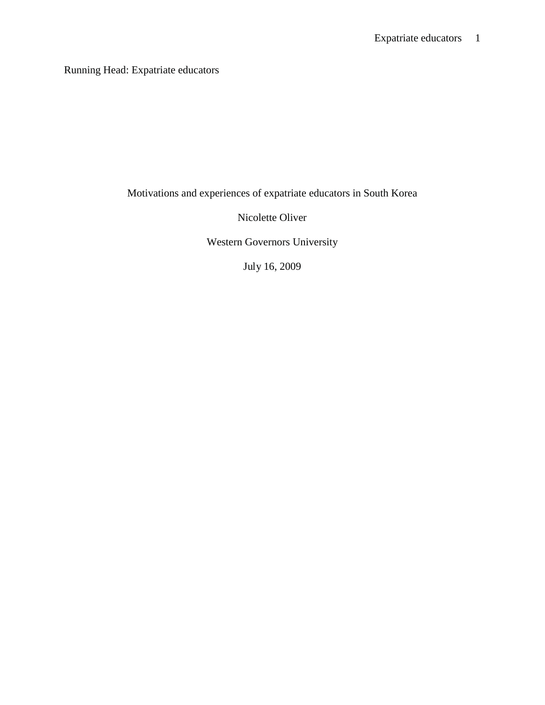Running Head: Expatriate educators

Motivations and experiences of expatriate educators in South Korea

Nicolette Oliver

Western Governors University

July 16, 2009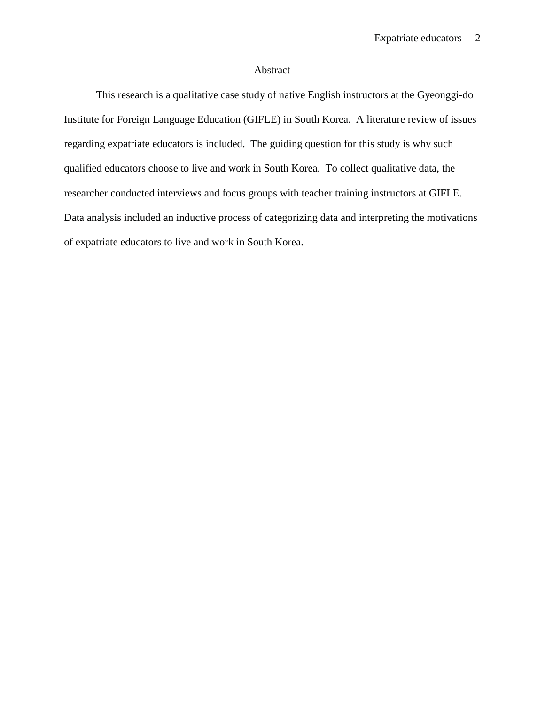# Abstract

This research is a qualitative case study of native English instructors at the Gyeonggi-do Institute for Foreign Language Education (GIFLE) in South Korea. A literature review of issues regarding expatriate educators is included. The guiding question for this study is why such qualified educators choose to live and work in South Korea. To collect qualitative data, the researcher conducted interviews and focus groups with teacher training instructors at GIFLE. Data analysis included an inductive process of categorizing data and interpreting the motivations of expatriate educators to live and work in South Korea.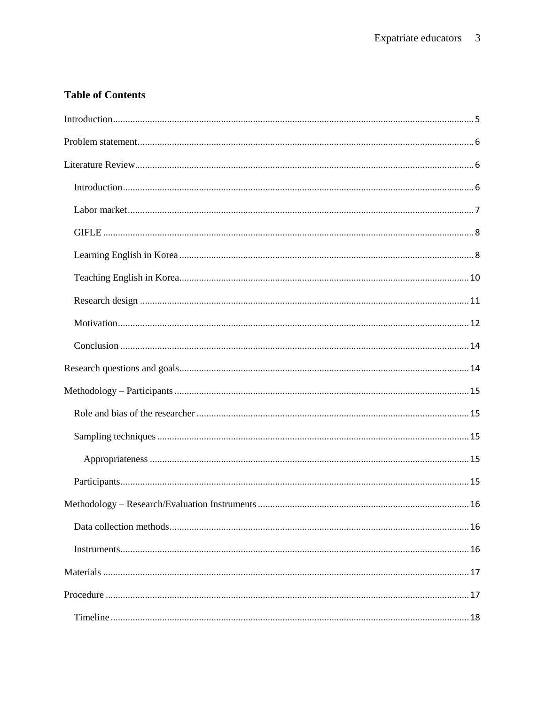# **Table of Contents**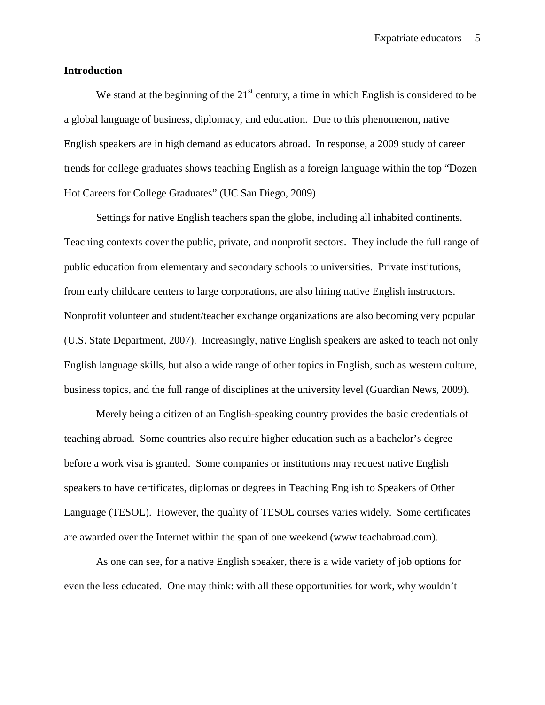## **Introduction**

We stand at the beginning of the  $21<sup>st</sup>$  century, a time in which English is considered to be a global language of business, diplomacy, and education. Due to this phenomenon, native English speakers are in high demand as educators abroad. In response, a 2009 study of career trends for college graduates shows teaching English as a foreign language within the top "Dozen Hot Careers for College Graduates" (UC San Diego, 2009)

Settings for native English teachers span the globe, including all inhabited continents. Teaching contexts cover the public, private, and nonprofit sectors. They include the full range of public education from elementary and secondary schools to universities. Private institutions, from early childcare centers to large corporations, are also hiring native English instructors. Nonprofit volunteer and student/teacher exchange organizations are also becoming very popular (U.S. State Department, 2007). Increasingly, native English speakers are asked to teach not only English language skills, but also a wide range of other topics in English, such as western culture, business topics, and the full range of disciplines at the university level (Guardian News, 2009).

Merely being a citizen of an English-speaking country provides the basic credentials of teaching abroad. Some countries also require higher education such as a bachelor's degree before a work visa is granted. Some companies or institutions may request native English speakers to have certificates, diplomas or degrees in Teaching English to Speakers of Other Language (TESOL). However, the quality of TESOL courses varies widely. Some certificates are awarded over the Internet within the span of one weekend (www.teachabroad.com).

As one can see, for a native English speaker, there is a wide variety of job options for even the less educated. One may think: with all these opportunities for work, why wouldn't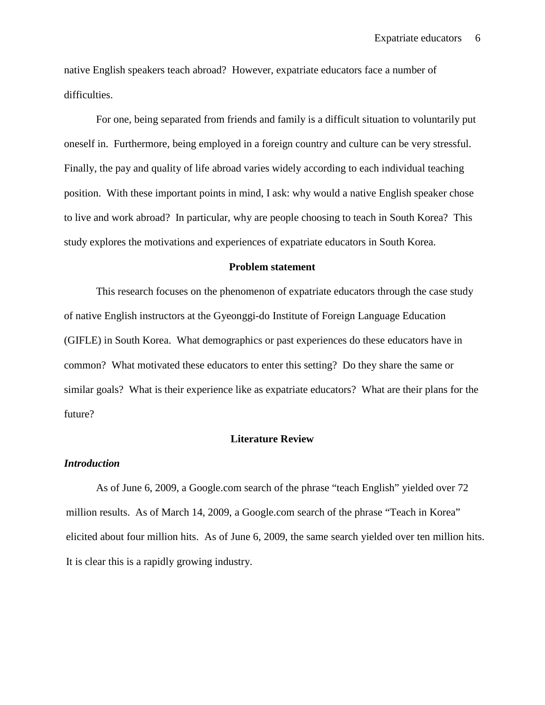native English speakers teach abroad? However, expatriate educators face a number of difficulties.

For one, being separated from friends and family is a difficult situation to voluntarily put oneself in. Furthermore, being employed in a foreign country and culture can be very stressful. Finally, the pay and quality of life abroad varies widely according to each individual teaching position. With these important points in mind, I ask: why would a native English speaker chose to live and work abroad? In particular, why are people choosing to teach in South Korea? This study explores the motivations and experiences of expatriate educators in South Korea.

#### **Problem statement**

This research focuses on the phenomenon of expatriate educators through the case study of native English instructors at the Gyeonggi-do Institute of Foreign Language Education (GIFLE) in South Korea. What demographics or past experiences do these educators have in common? What motivated these educators to enter this setting? Do they share the same or similar goals? What is their experience like as expatriate educators? What are their plans for the future?

## **Literature Review**

## *Introduction*

As of June 6, 2009, a Google.com search of the phrase "teach English" yielded over 72 million results. As of March 14, 2009, a Google.com search of the phrase "Teach in Korea" elicited about four million hits. As of June 6, 2009, the same search yielded over ten million hits. It is clear this is a rapidly growing industry.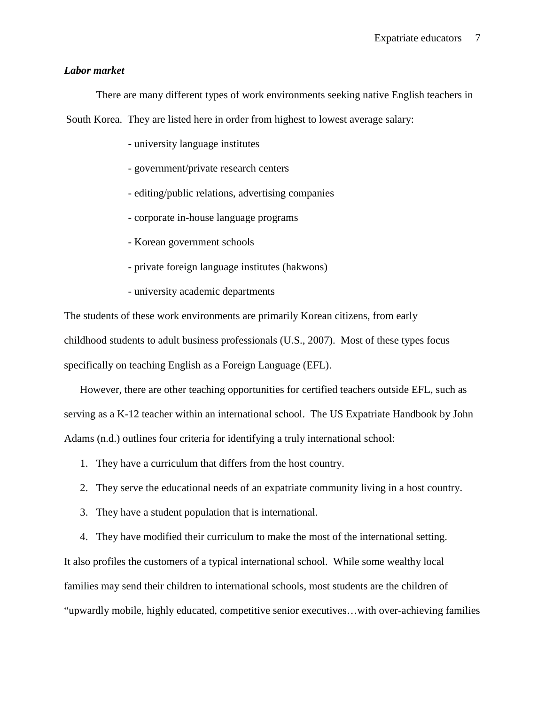# *Labor market*

There are many different types of work environments seeking native English teachers in

South Korea. They are listed here in order from highest to lowest average salary:

- university language institutes
- government/private research centers
- editing/public relations, advertising companies
- corporate in-house language programs
- Korean government schools
- private foreign language institutes (hakwons)
- university academic departments

The students of these work environments are primarily Korean citizens, from early childhood students to adult business professionals (U.S., 2007). Most of these types focus specifically on teaching English as a Foreign Language (EFL).

However, there are other teaching opportunities for certified teachers outside EFL, such as serving as a K-12 teacher within an international school. The US Expatriate Handbook by John Adams (n.d.) outlines four criteria for identifying a truly international school:

- 1. They have a curriculum that differs from the host country.
- 2. They serve the educational needs of an expatriate community living in a host country.
- 3. They have a student population that is international.

4. They have modified their curriculum to make the most of the international setting. It also profiles the customers of a typical international school. While some wealthy local families may send their children to international schools, most students are the children of "upwardly mobile, highly educated, competitive senior executives…with over-achieving families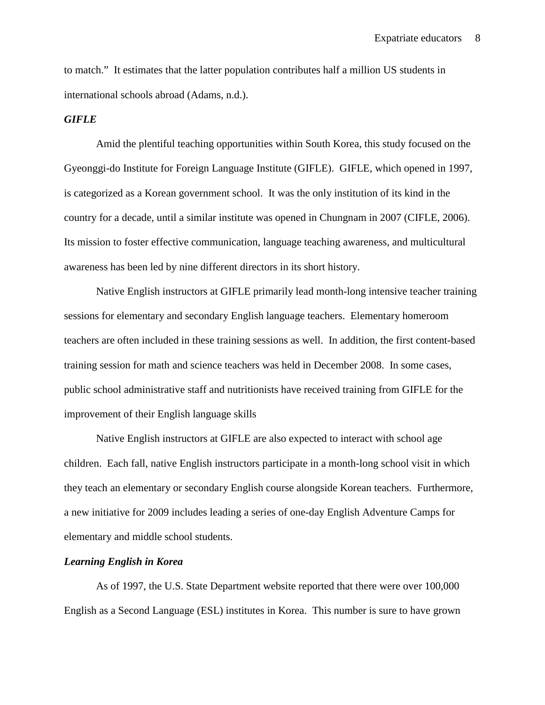to match." It estimates that the latter population contributes half a million US students in international schools abroad (Adams, n.d.).

# *GIFLE*

Amid the plentiful teaching opportunities within South Korea, this study focused on the Gyeonggi-do Institute for Foreign Language Institute (GIFLE). GIFLE, which opened in 1997, is categorized as a Korean government school. It was the only institution of its kind in the country for a decade, until a similar institute was opened in Chungnam in 2007 (CIFLE, 2006). Its mission to foster effective communication, language teaching awareness, and multicultural awareness has been led by nine different directors in its short history.

Native English instructors at GIFLE primarily lead month-long intensive teacher training sessions for elementary and secondary English language teachers. Elementary homeroom teachers are often included in these training sessions as well. In addition, the first content-based training session for math and science teachers was held in December 2008. In some cases, public school administrative staff and nutritionists have received training from GIFLE for the improvement of their English language skills

Native English instructors at GIFLE are also expected to interact with school age children. Each fall, native English instructors participate in a month-long school visit in which they teach an elementary or secondary English course alongside Korean teachers. Furthermore, a new initiative for 2009 includes leading a series of one-day English Adventure Camps for elementary and middle school students.

## *Learning English in Korea*

As of 1997, the U.S. State Department website reported that there were over 100,000 English as a Second Language (ESL) institutes in Korea. This number is sure to have grown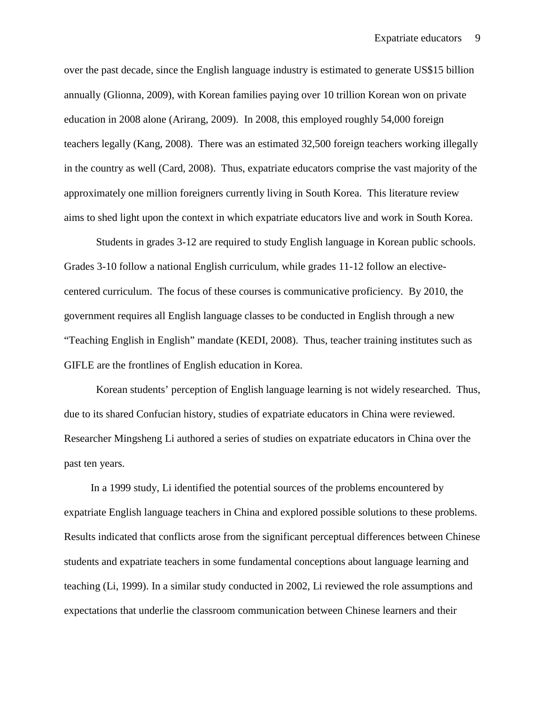over the past decade, since the English language industry is estimated to generate US\$15 billion annually (Glionna, 2009), with Korean families paying over 10 trillion Korean won on private education in 2008 alone (Arirang, 2009). In 2008, this employed roughly 54,000 foreign teachers legally (Kang, 2008). There was an estimated 32,500 foreign teachers working illegally in the country as well (Card, 2008). Thus, expatriate educators comprise the vast majority of the approximately one million foreigners currently living in South Korea. This literature review aims to shed light upon the context in which expatriate educators live and work in South Korea.

Students in grades 3-12 are required to study English language in Korean public schools. Grades 3-10 follow a national English curriculum, while grades 11-12 follow an electivecentered curriculum. The focus of these courses is communicative proficiency. By 2010, the government requires all English language classes to be conducted in English through a new "Teaching English in English" mandate (KEDI, 2008). Thus, teacher training institutes such as GIFLE are the frontlines of English education in Korea.

Korean students' perception of English language learning is not widely researched. Thus, due to its shared Confucian history, studies of expatriate educators in China were reviewed. Researcher Mingsheng Li authored a series of studies on expatriate educators in China over the past ten years.

In a 1999 study, Li identified the potential sources of the problems encountered by expatriate English language teachers in China and explored possible solutions to these problems. Results indicated that conflicts arose from the significant perceptual differences between Chinese students and expatriate teachers in some fundamental conceptions about language learning and teaching (Li, 1999). In a similar study conducted in 2002, Li reviewed the role assumptions and expectations that underlie the classroom communication between Chinese learners and their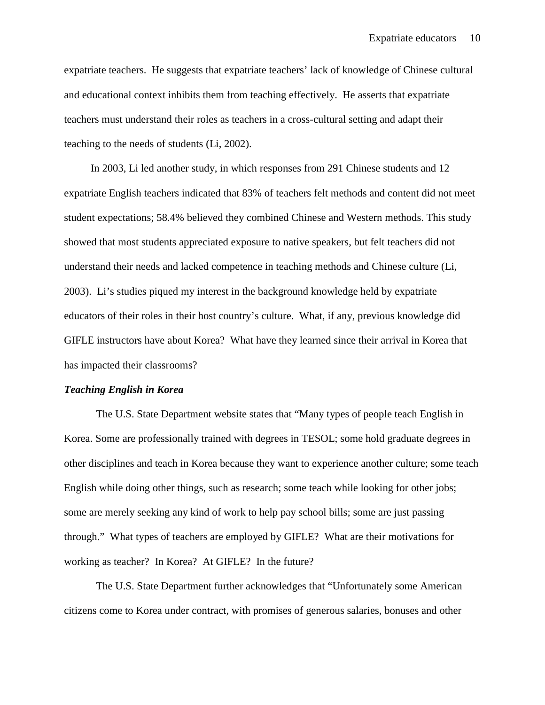expatriate teachers. He suggests that expatriate teachers' lack of knowledge of Chinese cultural and educational context inhibits them from teaching effectively. He asserts that expatriate teachers must understand their roles as teachers in a cross-cultural setting and adapt their teaching to the needs of students (Li, 2002).

In 2003, Li led another study, in which responses from 291 Chinese students and 12 expatriate English teachers indicated that 83% of teachers felt methods and content did not meet student expectations; 58.4% believed they combined Chinese and Western methods. This study showed that most students appreciated exposure to native speakers, but felt teachers did not understand their needs and lacked competence in teaching methods and Chinese culture (Li, 2003). Li's studies piqued my interest in the background knowledge held by expatriate educators of their roles in their host country's culture. What, if any, previous knowledge did GIFLE instructors have about Korea? What have they learned since their arrival in Korea that has impacted their classrooms?

## *Teaching English in Korea*

The U.S. State Department website states that "Many types of people teach English in Korea. Some are professionally trained with degrees in TESOL; some hold graduate degrees in other disciplines and teach in Korea because they want to experience another culture; some teach English while doing other things, such as research; some teach while looking for other jobs; some are merely seeking any kind of work to help pay school bills; some are just passing through." What types of teachers are employed by GIFLE? What are their motivations for working as teacher? In Korea? At GIFLE? In the future?

The U.S. State Department further acknowledges that "Unfortunately some American citizens come to Korea under contract, with promises of generous salaries, bonuses and other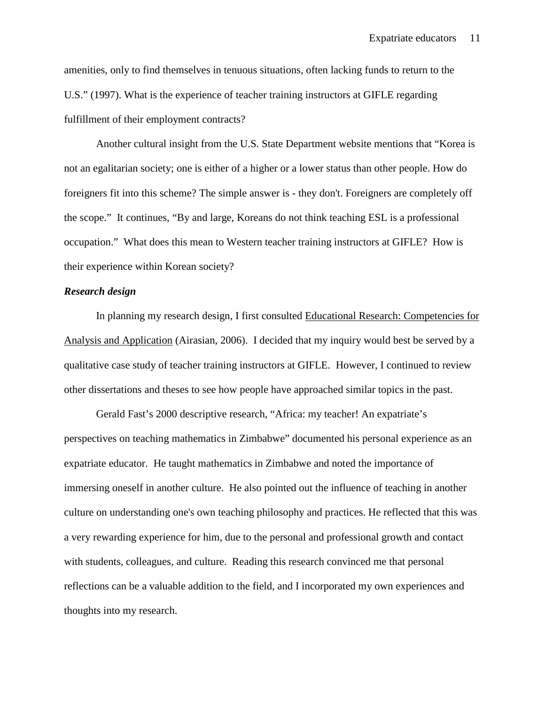amenities, only to find themselves in tenuous situations, often lacking funds to return to the U.S." (1997). What is the experience of teacher training instructors at GIFLE regarding fulfillment of their employment contracts?

Another cultural insight from the U.S. State Department website mentions that "Korea is not an egalitarian society; one is either of a higher or a lower status than other people. How do foreigners fit into this scheme? The simple answer is - they don't. Foreigners are completely off the scope." It continues, "By and large, Koreans do not think teaching ESL is a professional occupation." What does this mean to Western teacher training instructors at GIFLE? How is their experience within Korean society?

# *Research design*

In planning my research design, I first consulted Educational Research: Competencies for Analysis and Application (Airasian, 2006). I decided that my inquiry would best be served by a qualitative case study of teacher training instructors at GIFLE. However, I continued to review other dissertations and theses to see how people have approached similar topics in the past.

Gerald Fast's 2000 descriptive research, "Africa: my teacher! An expatriate's perspectives on teaching mathematics in Zimbabwe" documented his personal experience as an expatriate educator. He taught mathematics in Zimbabwe and noted the importance of immersing oneself in another culture. He also pointed out the influence of teaching in another culture on understanding one's own teaching philosophy and practices. He reflected that this was a very rewarding experience for him, due to the personal and professional growth and contact with students, colleagues, and culture. Reading this research convinced me that personal reflections can be a valuable addition to the field, and I incorporated my own experiences and thoughts into my research.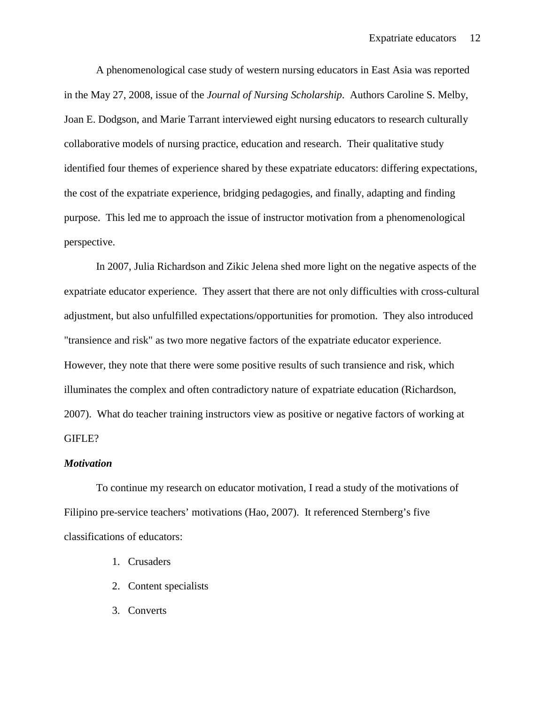A phenomenological case study of western nursing educators in East Asia was reported in the May 27, 2008, issue of the *Journal of Nursing Scholarship*. Authors Caroline S. Melby, Joan E. Dodgson, and Marie Tarrant interviewed eight nursing educators to research culturally collaborative models of nursing practice, education and research. Their qualitative study identified four themes of experience shared by these expatriate educators: differing expectations, the cost of the expatriate experience, bridging pedagogies, and finally, adapting and finding purpose. This led me to approach the issue of instructor motivation from a phenomenological perspective.

In 2007, Julia Richardson and Zikic Jelena shed more light on the negative aspects of the expatriate educator experience. They assert that there are not only difficulties with cross-cultural adjustment, but also unfulfilled expectations/opportunities for promotion. They also introduced "transience and risk" as two more negative factors of the expatriate educator experience. However, they note that there were some positive results of such transience and risk, which illuminates the complex and often contradictory nature of expatriate education (Richardson, 2007). What do teacher training instructors view as positive or negative factors of working at GIFLE?

#### *Motivation*

To continue my research on educator motivation, I read a study of the motivations of Filipino pre-service teachers' motivations (Hao, 2007). It referenced Sternberg's five classifications of educators:

- 1. Crusaders
- 2. Content specialists
- 3. Converts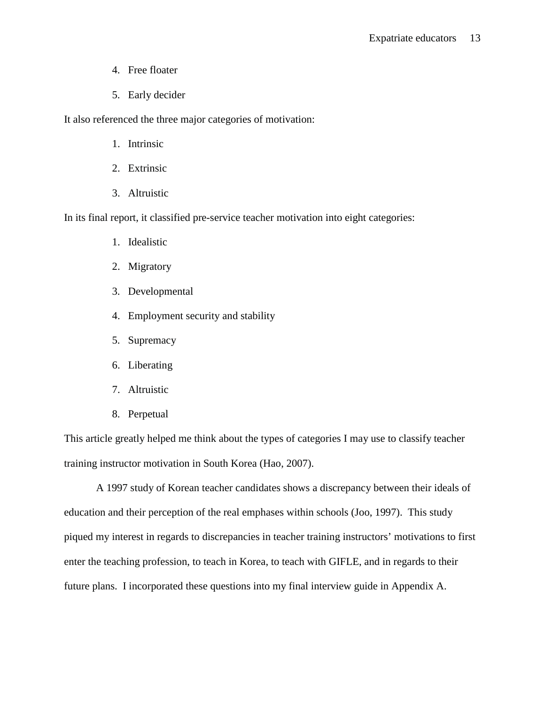- 4. Free floater
- 5. Early decider

It also referenced the three major categories of motivation:

- 1. Intrinsic
- 2. Extrinsic
- 3. Altruistic

In its final report, it classified pre-service teacher motivation into eight categories:

- 1. Idealistic
- 2. Migratory
- 3. Developmental
- 4. Employment security and stability
- 5. Supremacy
- 6. Liberating
- 7. Altruistic
- 8. Perpetual

This article greatly helped me think about the types of categories I may use to classify teacher training instructor motivation in South Korea (Hao, 2007).

A 1997 study of Korean teacher candidates shows a discrepancy between their ideals of education and their perception of the real emphases within schools (Joo, 1997). This study piqued my interest in regards to discrepancies in teacher training instructors' motivations to first enter the teaching profession, to teach in Korea, to teach with GIFLE, and in regards to their future plans. I incorporated these questions into my final interview guide in Appendix A.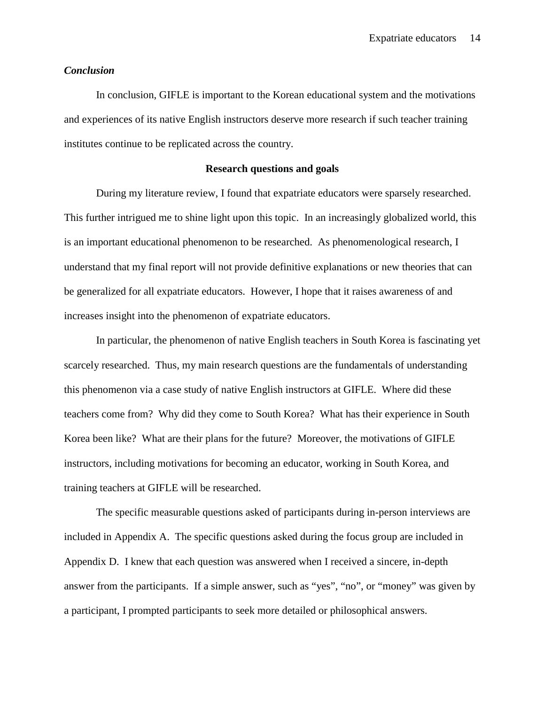## *Conclusion*

In conclusion, GIFLE is important to the Korean educational system and the motivations and experiences of its native English instructors deserve more research if such teacher training institutes continue to be replicated across the country.

## **Research questions and goals**

During my literature review, I found that expatriate educators were sparsely researched. This further intrigued me to shine light upon this topic. In an increasingly globalized world, this is an important educational phenomenon to be researched. As phenomenological research, I understand that my final report will not provide definitive explanations or new theories that can be generalized for all expatriate educators. However, I hope that it raises awareness of and increases insight into the phenomenon of expatriate educators.

In particular, the phenomenon of native English teachers in South Korea is fascinating yet scarcely researched. Thus, my main research questions are the fundamentals of understanding this phenomenon via a case study of native English instructors at GIFLE. Where did these teachers come from? Why did they come to South Korea? What has their experience in South Korea been like? What are their plans for the future? Moreover, the motivations of GIFLE instructors, including motivations for becoming an educator, working in South Korea, and training teachers at GIFLE will be researched.

The specific measurable questions asked of participants during in-person interviews are included in Appendix A. The specific questions asked during the focus group are included in Appendix D. I knew that each question was answered when I received a sincere, in-depth answer from the participants. If a simple answer, such as "yes", "no", or "money" was given by a participant, I prompted participants to seek more detailed or philosophical answers.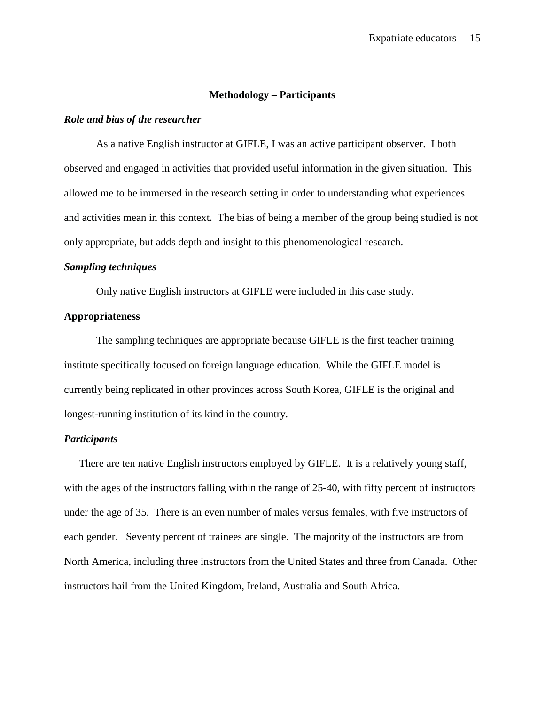#### **Methodology – Participants**

## *Role and bias of the researcher*

As a native English instructor at GIFLE, I was an active participant observer. I both observed and engaged in activities that provided useful information in the given situation. This allowed me to be immersed in the research setting in order to understanding what experiences and activities mean in this context. The bias of being a member of the group being studied is not only appropriate, but adds depth and insight to this phenomenological research.

# *Sampling techniques*

Only native English instructors at GIFLE were included in this case study.

# **Appropriateness**

The sampling techniques are appropriate because GIFLE is the first teacher training institute specifically focused on foreign language education. While the GIFLE model is currently being replicated in other provinces across South Korea, GIFLE is the original and longest-running institution of its kind in the country.

## *Participants*

There are ten native English instructors employed by GIFLE. It is a relatively young staff, with the ages of the instructors falling within the range of 25-40, with fifty percent of instructors under the age of 35. There is an even number of males versus females, with five instructors of each gender. Seventy percent of trainees are single. The majority of the instructors are from North America, including three instructors from the United States and three from Canada. Other instructors hail from the United Kingdom, Ireland, Australia and South Africa.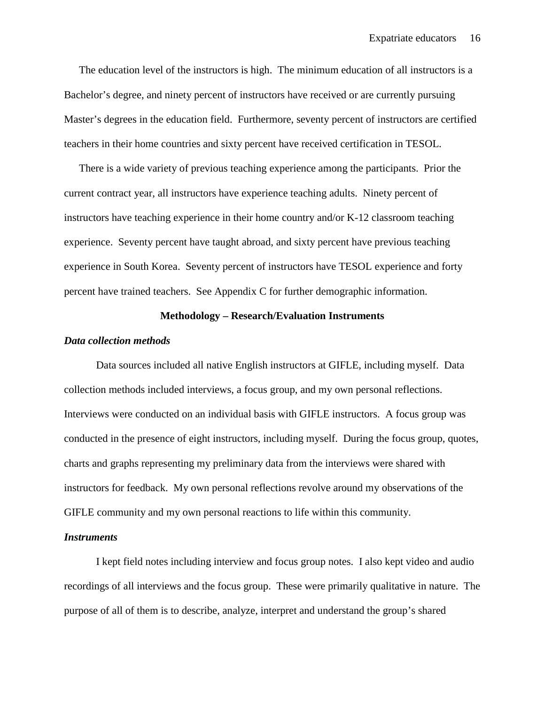The education level of the instructors is high. The minimum education of all instructors is a Bachelor's degree, and ninety percent of instructors have received or are currently pursuing Master's degrees in the education field. Furthermore, seventy percent of instructors are certified teachers in their home countries and sixty percent have received certification in TESOL.

There is a wide variety of previous teaching experience among the participants. Prior the current contract year, all instructors have experience teaching adults. Ninety percent of instructors have teaching experience in their home country and/or K-12 classroom teaching experience. Seventy percent have taught abroad, and sixty percent have previous teaching experience in South Korea. Seventy percent of instructors have TESOL experience and forty percent have trained teachers. See Appendix C for further demographic information.

# **Methodology – Research/Evaluation Instruments**

#### *Data collection methods*

Data sources included all native English instructors at GIFLE, including myself. Data collection methods included interviews, a focus group, and my own personal reflections. Interviews were conducted on an individual basis with GIFLE instructors. A focus group was conducted in the presence of eight instructors, including myself. During the focus group, quotes, charts and graphs representing my preliminary data from the interviews were shared with instructors for feedback. My own personal reflections revolve around my observations of the GIFLE community and my own personal reactions to life within this community.

#### *Instruments*

I kept field notes including interview and focus group notes. I also kept video and audio recordings of all interviews and the focus group. These were primarily qualitative in nature. The purpose of all of them is to describe, analyze, interpret and understand the group's shared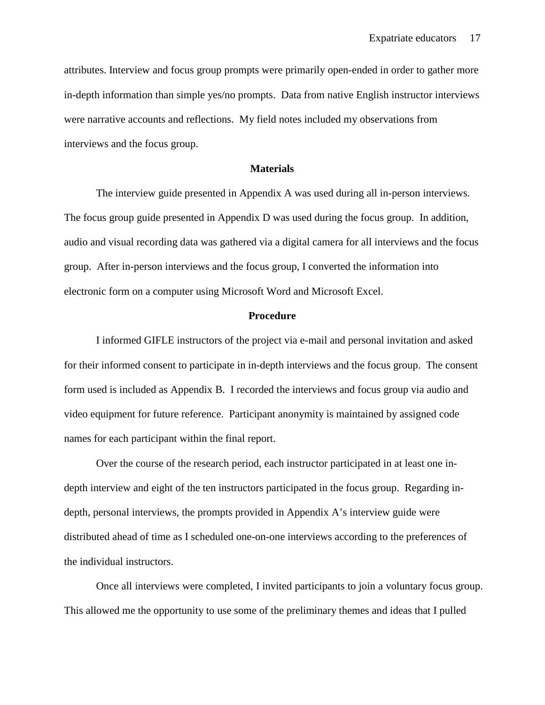attributes. Interview and focus group prompts were primarily open-ended in order to gather more in-depth information than simple yes/no prompts. Data from native English instructor interviews were narrative accounts and reflections. My field notes included my observations from interviews and the focus group.

#### **Materials**

The interview guide presented in Appendix A was used during all in-person interviews. The focus group guide presented in Appendix D was used during the focus group. In addition, audio and visual recording data was gathered via a digital camera for all interviews and the focus group. After in-person interviews and the focus group, I converted the information into electronic form on a computer using Microsoft Word and Microsoft Excel.

#### **Procedure**

I informed GIFLE instructors of the project via e-mail and personal invitation and asked for their informed consent to participate in in-depth interviews and the focus group. The consent form used is included as Appendix B. I recorded the interviews and focus group via audio and video equipment for future reference. Participant anonymity is maintained by assigned code names for each participant within the final report.

Over the course of the research period, each instructor participated in at least one indepth interview and eight of the ten instructors participated in the focus group. Regarding indepth, personal interviews, the prompts provided in Appendix A's interview guide were distributed ahead of time as I scheduled one-on-one interviews according to the preferences of the individual instructors.

Once all interviews were completed, I invited participants to join a voluntary focus group. This allowed me the opportunity to use some of the preliminary themes and ideas that I pulled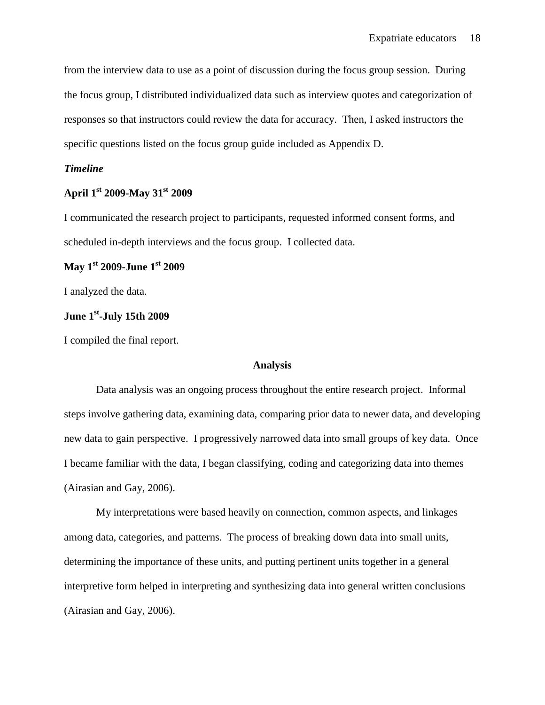from the interview data to use as a point of discussion during the focus group session. During the focus group, I distributed individualized data such as interview quotes and categorization of responses so that instructors could review the data for accuracy. Then, I asked instructors the specific questions listed on the focus group guide included as Appendix D.

# *Timeline*

# **April 1st 2009-May 31st 2009**

I communicated the research project to participants, requested informed consent forms, and scheduled in-depth interviews and the focus group. I collected data.

# **May 1st 2009-June 1st 2009**

I analyzed the data.

# **June 1st-July 15th 2009**

I compiled the final report.

# **Analysis**

Data analysis was an ongoing process throughout the entire research project. Informal steps involve gathering data, examining data, comparing prior data to newer data, and developing new data to gain perspective. I progressively narrowed data into small groups of key data. Once I became familiar with the data, I began classifying, coding and categorizing data into themes (Airasian and Gay, 2006).

My interpretations were based heavily on connection, common aspects, and linkages among data, categories, and patterns. The process of breaking down data into small units, determining the importance of these units, and putting pertinent units together in a general interpretive form helped in interpreting and synthesizing data into general written conclusions (Airasian and Gay, 2006).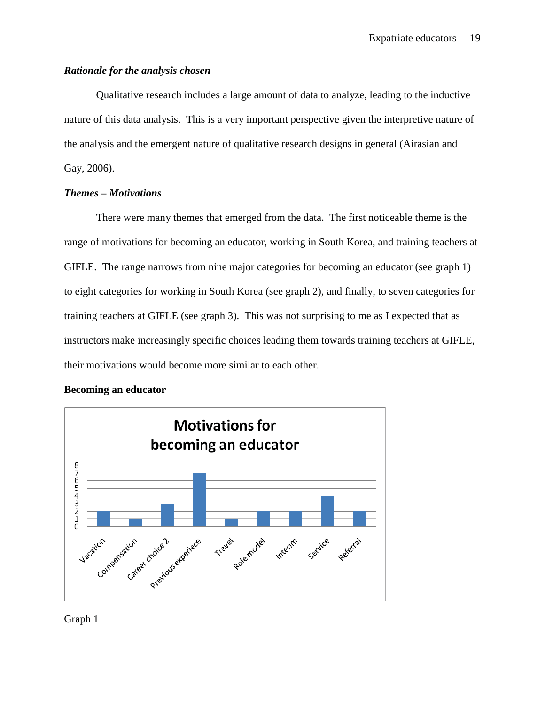# *Rationale for the analysis chosen*

Qualitative research includes a large amount of data to analyze, leading to the inductive nature of this data analysis. This is a very important perspective given the interpretive nature of the analysis and the emergent nature of qualitative research designs in general (Airasian and Gay, 2006).

# *Themes – Motivations*

There were many themes that emerged from the data. The first noticeable theme is the range of motivations for becoming an educator, working in South Korea, and training teachers at GIFLE. The range narrows from nine major categories for becoming an educator (see graph 1) to eight categories for working in South Korea (see graph 2), and finally, to seven categories for training teachers at GIFLE (see graph 3). This was not surprising to me as I expected that as instructors make increasingly specific choices leading them towards training teachers at GIFLE, their motivations would become more similar to each other.

# **Becoming an educator**



Graph 1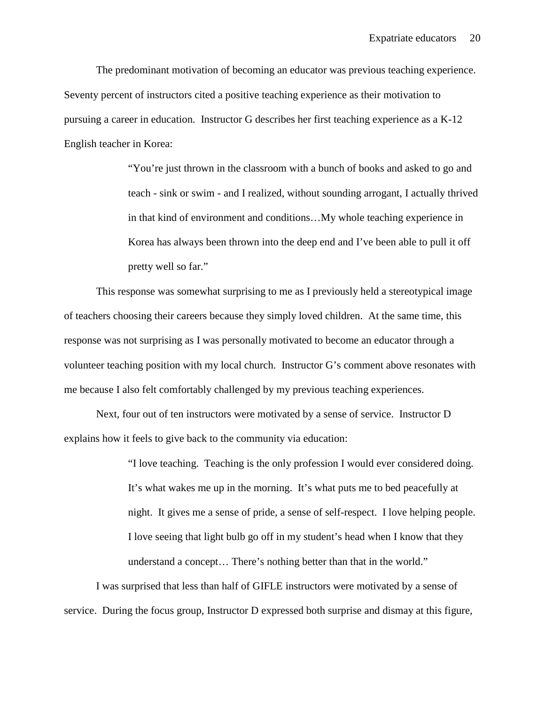The predominant motivation of becoming an educator was previous teaching experience. Seventy percent of instructors cited a positive teaching experience as their motivation to pursuing a career in education. Instructor G describes her first teaching experience as a K-12 English teacher in Korea:

> "You're just thrown in the classroom with a bunch of books and asked to go and teach - sink or swim - and I realized, without sounding arrogant, I actually thrived in that kind of environment and conditions…My whole teaching experience in Korea has always been thrown into the deep end and I've been able to pull it off pretty well so far."

This response was somewhat surprising to me as I previously held a stereotypical image of teachers choosing their careers because they simply loved children. At the same time, this response was not surprising as I was personally motivated to become an educator through a volunteer teaching position with my local church. Instructor G's comment above resonates with me because I also felt comfortably challenged by my previous teaching experiences.

Next, four out of ten instructors were motivated by a sense of service. Instructor D explains how it feels to give back to the community via education:

> "I love teaching. Teaching is the only profession I would ever considered doing. It's what wakes me up in the morning. It's what puts me to bed peacefully at night. It gives me a sense of pride, a sense of self-respect. I love helping people. I love seeing that light bulb go off in my student's head when I know that they understand a concept… There's nothing better than that in the world."

I was surprised that less than half of GIFLE instructors were motivated by a sense of service. During the focus group, Instructor D expressed both surprise and dismay at this figure,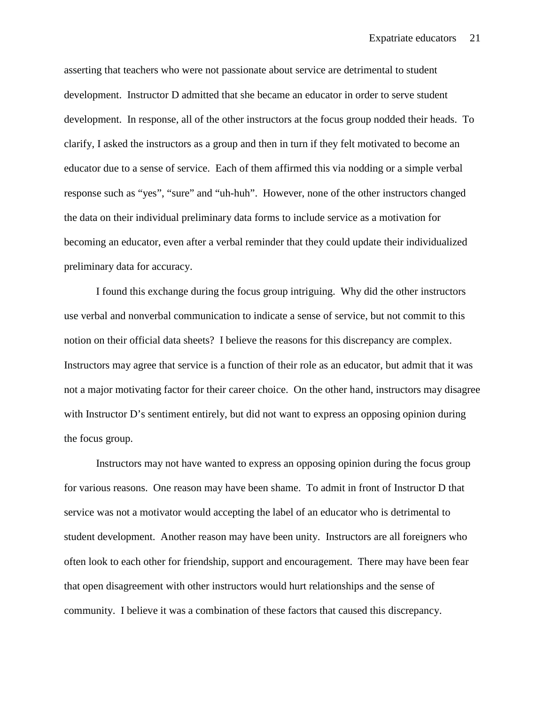asserting that teachers who were not passionate about service are detrimental to student development. Instructor D admitted that she became an educator in order to serve student development. In response, all of the other instructors at the focus group nodded their heads. To clarify, I asked the instructors as a group and then in turn if they felt motivated to become an educator due to a sense of service. Each of them affirmed this via nodding or a simple verbal response such as "yes", "sure" and "uh-huh". However, none of the other instructors changed the data on their individual preliminary data forms to include service as a motivation for becoming an educator, even after a verbal reminder that they could update their individualized preliminary data for accuracy.

I found this exchange during the focus group intriguing. Why did the other instructors use verbal and nonverbal communication to indicate a sense of service, but not commit to this notion on their official data sheets? I believe the reasons for this discrepancy are complex. Instructors may agree that service is a function of their role as an educator, but admit that it was not a major motivating factor for their career choice. On the other hand, instructors may disagree with Instructor D's sentiment entirely, but did not want to express an opposing opinion during the focus group.

Instructors may not have wanted to express an opposing opinion during the focus group for various reasons. One reason may have been shame. To admit in front of Instructor D that service was not a motivator would accepting the label of an educator who is detrimental to student development. Another reason may have been unity. Instructors are all foreigners who often look to each other for friendship, support and encouragement. There may have been fear that open disagreement with other instructors would hurt relationships and the sense of community. I believe it was a combination of these factors that caused this discrepancy.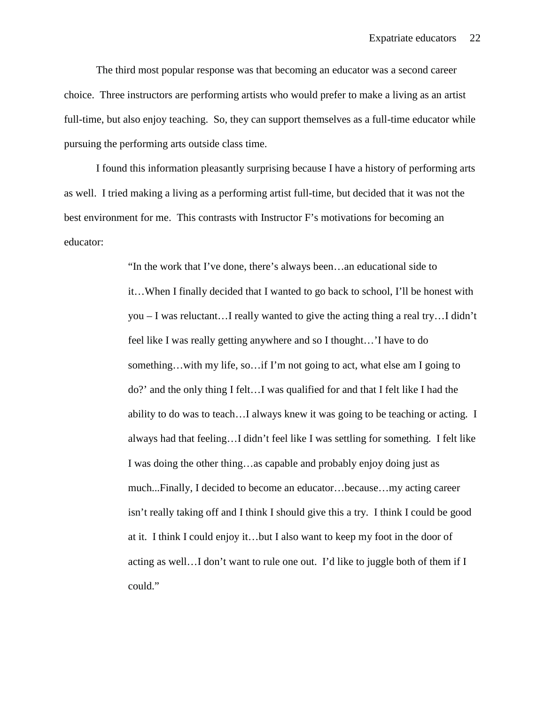The third most popular response was that becoming an educator was a second career choice. Three instructors are performing artists who would prefer to make a living as an artist full-time, but also enjoy teaching. So, they can support themselves as a full-time educator while pursuing the performing arts outside class time.

I found this information pleasantly surprising because I have a history of performing arts as well. I tried making a living as a performing artist full-time, but decided that it was not the best environment for me. This contrasts with Instructor F's motivations for becoming an educator:

> "In the work that I've done, there's always been…an educational side to it…When I finally decided that I wanted to go back to school, I'll be honest with you – I was reluctant…I really wanted to give the acting thing a real try…I didn't feel like I was really getting anywhere and so I thought…'I have to do something…with my life, so…if I'm not going to act, what else am I going to do?' and the only thing I felt…I was qualified for and that I felt like I had the ability to do was to teach…I always knew it was going to be teaching or acting. I always had that feeling…I didn't feel like I was settling for something. I felt like I was doing the other thing…as capable and probably enjoy doing just as much...Finally, I decided to become an educator…because…my acting career isn't really taking off and I think I should give this a try. I think I could be good at it. I think I could enjoy it…but I also want to keep my foot in the door of acting as well…I don't want to rule one out. I'd like to juggle both of them if I could."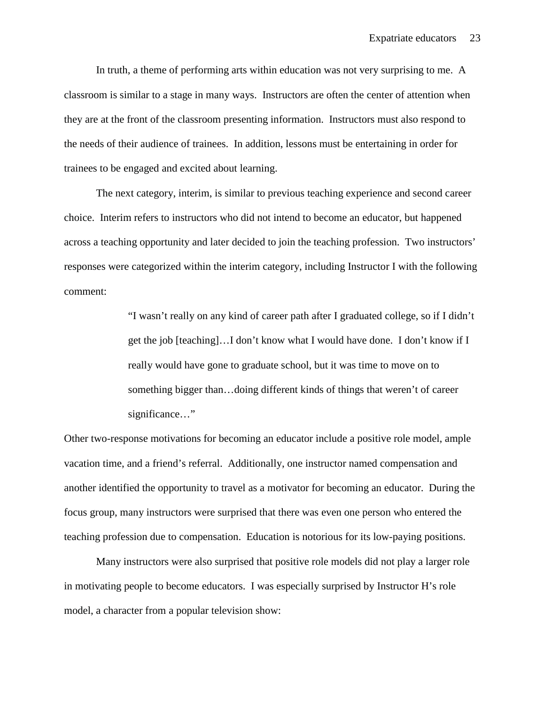In truth, a theme of performing arts within education was not very surprising to me. A classroom is similar to a stage in many ways. Instructors are often the center of attention when they are at the front of the classroom presenting information. Instructors must also respond to the needs of their audience of trainees. In addition, lessons must be entertaining in order for trainees to be engaged and excited about learning.

The next category, interim, is similar to previous teaching experience and second career choice. Interim refers to instructors who did not intend to become an educator, but happened across a teaching opportunity and later decided to join the teaching profession. Two instructors' responses were categorized within the interim category, including Instructor I with the following comment:

> "I wasn't really on any kind of career path after I graduated college, so if I didn't get the job [teaching]…I don't know what I would have done. I don't know if I really would have gone to graduate school, but it was time to move on to something bigger than…doing different kinds of things that weren't of career significance..."

Other two-response motivations for becoming an educator include a positive role model, ample vacation time, and a friend's referral. Additionally, one instructor named compensation and another identified the opportunity to travel as a motivator for becoming an educator. During the focus group, many instructors were surprised that there was even one person who entered the teaching profession due to compensation. Education is notorious for its low-paying positions.

Many instructors were also surprised that positive role models did not play a larger role in motivating people to become educators. I was especially surprised by Instructor H's role model, a character from a popular television show: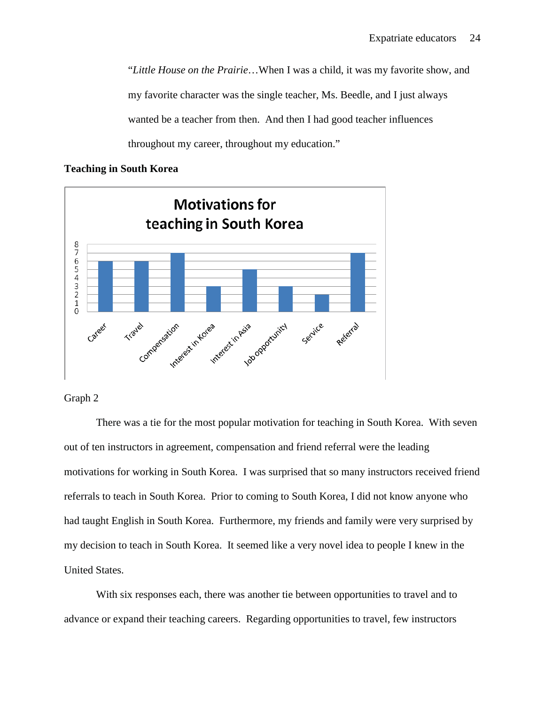"*Little House on the Prairie*…When I was a child, it was my favorite show, and my favorite character was the single teacher, Ms. Beedle, and I just always wanted be a teacher from then. And then I had good teacher influences throughout my career, throughout my education."

## **Teaching in South Korea**



## Graph 2

There was a tie for the most popular motivation for teaching in South Korea. With seven out of ten instructors in agreement, compensation and friend referral were the leading motivations for working in South Korea. I was surprised that so many instructors received friend referrals to teach in South Korea. Prior to coming to South Korea, I did not know anyone who had taught English in South Korea. Furthermore, my friends and family were very surprised by my decision to teach in South Korea. It seemed like a very novel idea to people I knew in the United States.

With six responses each, there was another tie between opportunities to travel and to advance or expand their teaching careers. Regarding opportunities to travel, few instructors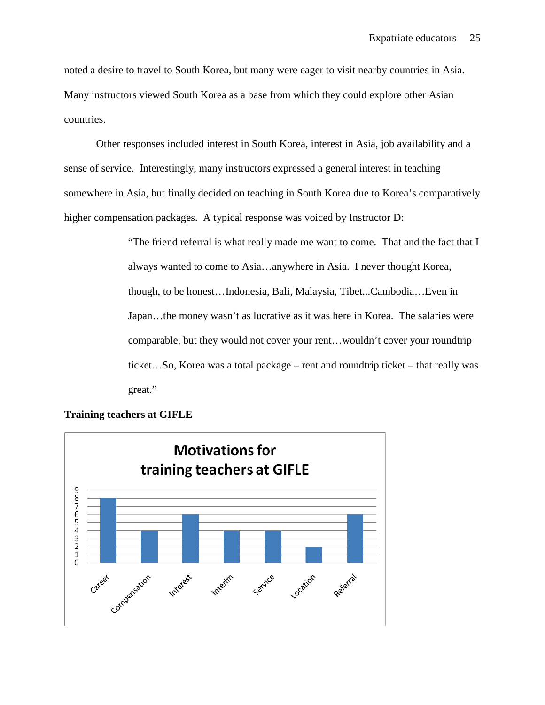noted a desire to travel to South Korea, but many were eager to visit nearby countries in Asia. Many instructors viewed South Korea as a base from which they could explore other Asian countries.

Other responses included interest in South Korea, interest in Asia, job availability and a sense of service. Interestingly, many instructors expressed a general interest in teaching somewhere in Asia, but finally decided on teaching in South Korea due to Korea's comparatively higher compensation packages. A typical response was voiced by Instructor D:

> "The friend referral is what really made me want to come. That and the fact that I always wanted to come to Asia…anywhere in Asia. I never thought Korea, though, to be honest…Indonesia, Bali, Malaysia, Tibet...Cambodia…Even in Japan…the money wasn't as lucrative as it was here in Korea. The salaries were comparable, but they would not cover your rent…wouldn't cover your roundtrip ticket…So, Korea was a total package – rent and roundtrip ticket – that really was great."



## **Training teachers at GIFLE**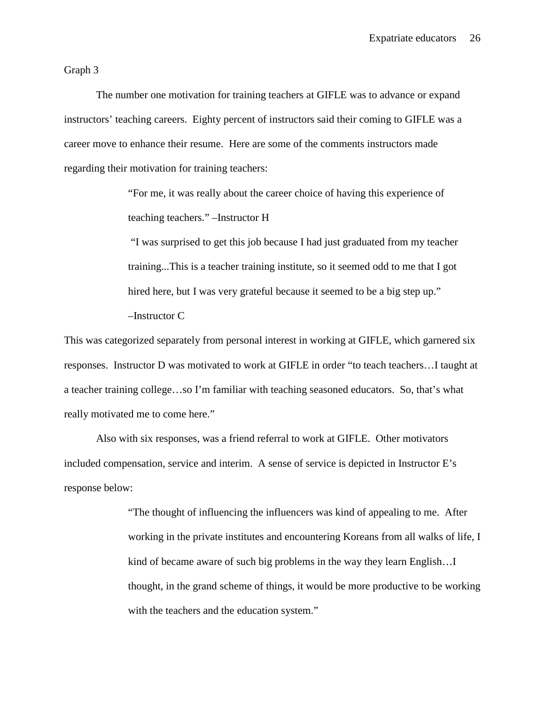Graph 3

The number one motivation for training teachers at GIFLE was to advance or expand instructors' teaching careers. Eighty percent of instructors said their coming to GIFLE was a career move to enhance their resume. Here are some of the comments instructors made regarding their motivation for training teachers:

> "For me, it was really about the career choice of having this experience of teaching teachers." –Instructor H

"I was surprised to get this job because I had just graduated from my teacher training...This is a teacher training institute, so it seemed odd to me that I got hired here, but I was very grateful because it seemed to be a big step up." –Instructor C

This was categorized separately from personal interest in working at GIFLE, which garnered six responses. Instructor D was motivated to work at GIFLE in order "to teach teachers…I taught at a teacher training college…so I'm familiar with teaching seasoned educators. So, that's what really motivated me to come here."

Also with six responses, was a friend referral to work at GIFLE. Other motivators included compensation, service and interim. A sense of service is depicted in Instructor E's response below:

> "The thought of influencing the influencers was kind of appealing to me. After working in the private institutes and encountering Koreans from all walks of life, I kind of became aware of such big problems in the way they learn English…I thought, in the grand scheme of things, it would be more productive to be working with the teachers and the education system."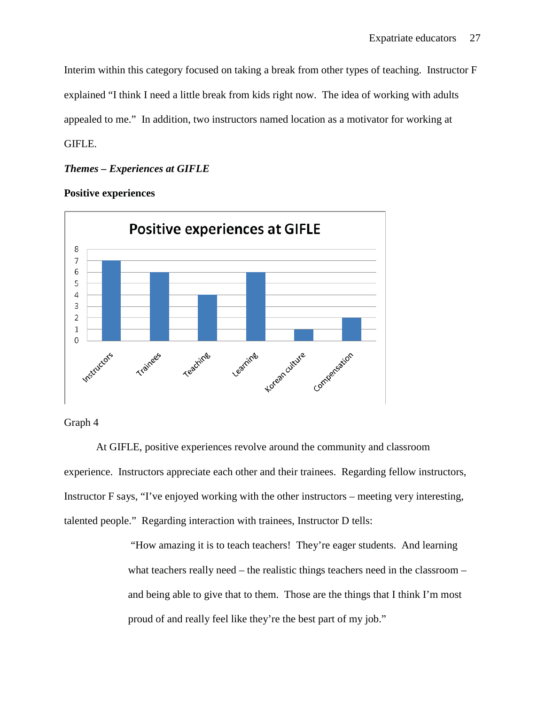Interim within this category focused on taking a break from other types of teaching. Instructor F explained "I think I need a little break from kids right now. The idea of working with adults appealed to me." In addition, two instructors named location as a motivator for working at GIFLE.

# *Themes – Experiences at GIFLE*

**Positive experiences**



# Graph 4

At GIFLE, positive experiences revolve around the community and classroom experience. Instructors appreciate each other and their trainees. Regarding fellow instructors, Instructor F says, "I've enjoyed working with the other instructors – meeting very interesting, talented people." Regarding interaction with trainees, Instructor D tells:

> "How amazing it is to teach teachers! They're eager students. And learning what teachers really need – the realistic things teachers need in the classroom – and being able to give that to them. Those are the things that I think I'm most proud of and really feel like they're the best part of my job."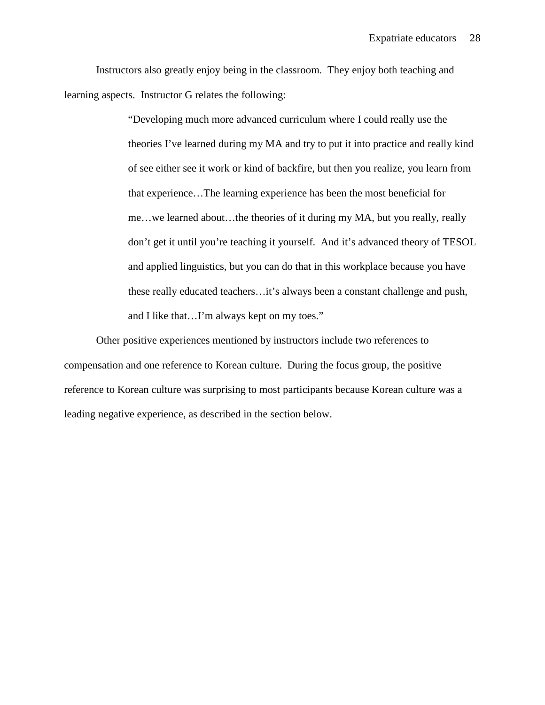Instructors also greatly enjoy being in the classroom. They enjoy both teaching and learning aspects. Instructor G relates the following:

> "Developing much more advanced curriculum where I could really use the theories I've learned during my MA and try to put it into practice and really kind of see either see it work or kind of backfire, but then you realize, you learn from that experience…The learning experience has been the most beneficial for me…we learned about…the theories of it during my MA, but you really, really don't get it until you're teaching it yourself. And it's advanced theory of TESOL and applied linguistics, but you can do that in this workplace because you have these really educated teachers…it's always been a constant challenge and push, and I like that…I'm always kept on my toes."

Other positive experiences mentioned by instructors include two references to compensation and one reference to Korean culture. During the focus group, the positive reference to Korean culture was surprising to most participants because Korean culture was a leading negative experience, as described in the section below.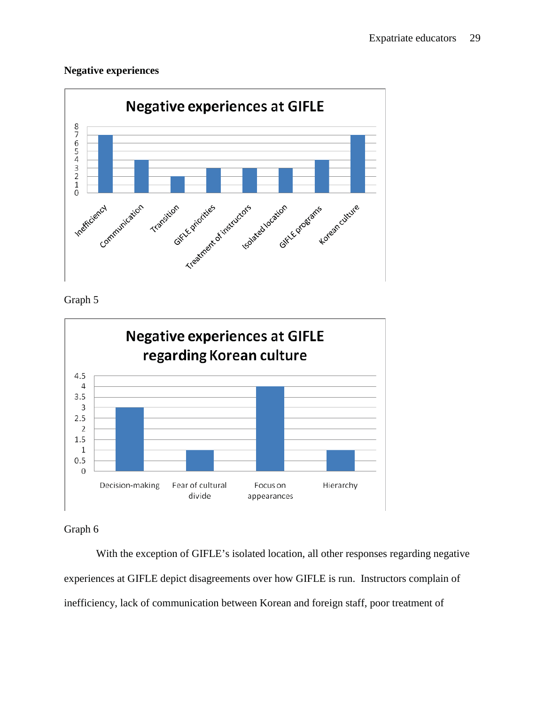# **Negative experiences**



# Graph 5



Graph 6

With the exception of GIFLE's isolated location, all other responses regarding negative experiences at GIFLE depict disagreements over how GIFLE is run. Instructors complain of inefficiency, lack of communication between Korean and foreign staff, poor treatment of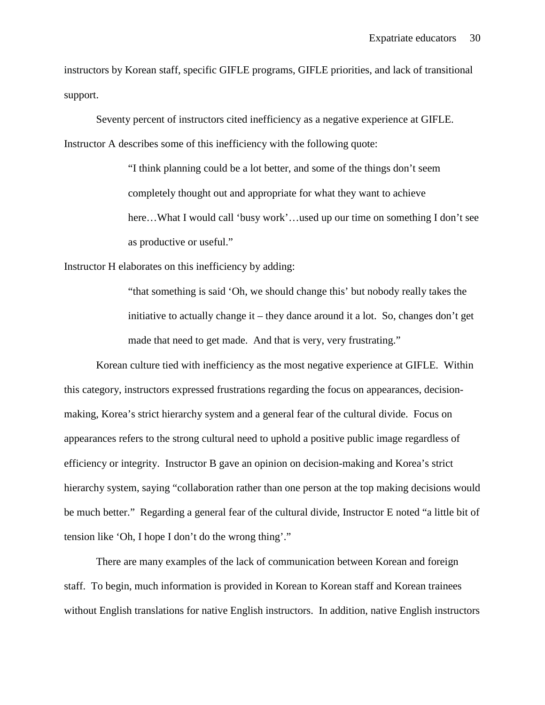instructors by Korean staff, specific GIFLE programs, GIFLE priorities, and lack of transitional support.

Seventy percent of instructors cited inefficiency as a negative experience at GIFLE. Instructor A describes some of this inefficiency with the following quote:

> "I think planning could be a lot better, and some of the things don't seem completely thought out and appropriate for what they want to achieve here...What I would call 'busy work'...used up our time on something I don't see as productive or useful."

Instructor H elaborates on this inefficiency by adding:

"that something is said 'Oh, we should change this' but nobody really takes the initiative to actually change it – they dance around it a lot. So, changes don't get made that need to get made. And that is very, very frustrating."

Korean culture tied with inefficiency as the most negative experience at GIFLE. Within this category, instructors expressed frustrations regarding the focus on appearances, decisionmaking, Korea's strict hierarchy system and a general fear of the cultural divide. Focus on appearances refers to the strong cultural need to uphold a positive public image regardless of efficiency or integrity. Instructor B gave an opinion on decision-making and Korea's strict hierarchy system, saying "collaboration rather than one person at the top making decisions would be much better." Regarding a general fear of the cultural divide, Instructor E noted "a little bit of tension like 'Oh, I hope I don't do the wrong thing'."

There are many examples of the lack of communication between Korean and foreign staff. To begin, much information is provided in Korean to Korean staff and Korean trainees without English translations for native English instructors. In addition, native English instructors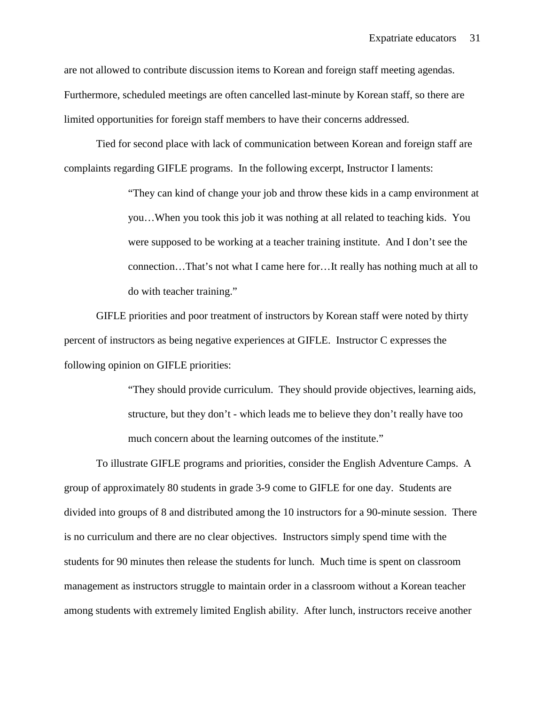are not allowed to contribute discussion items to Korean and foreign staff meeting agendas. Furthermore, scheduled meetings are often cancelled last-minute by Korean staff, so there are limited opportunities for foreign staff members to have their concerns addressed.

Tied for second place with lack of communication between Korean and foreign staff are complaints regarding GIFLE programs. In the following excerpt, Instructor I laments:

> "They can kind of change your job and throw these kids in a camp environment at you…When you took this job it was nothing at all related to teaching kids. You were supposed to be working at a teacher training institute. And I don't see the connection…That's not what I came here for…It really has nothing much at all to do with teacher training."

GIFLE priorities and poor treatment of instructors by Korean staff were noted by thirty percent of instructors as being negative experiences at GIFLE. Instructor C expresses the following opinion on GIFLE priorities:

> "They should provide curriculum. They should provide objectives, learning aids, structure, but they don't - which leads me to believe they don't really have too much concern about the learning outcomes of the institute."

To illustrate GIFLE programs and priorities, consider the English Adventure Camps. A group of approximately 80 students in grade 3-9 come to GIFLE for one day. Students are divided into groups of 8 and distributed among the 10 instructors for a 90-minute session. There is no curriculum and there are no clear objectives. Instructors simply spend time with the students for 90 minutes then release the students for lunch. Much time is spent on classroom management as instructors struggle to maintain order in a classroom without a Korean teacher among students with extremely limited English ability. After lunch, instructors receive another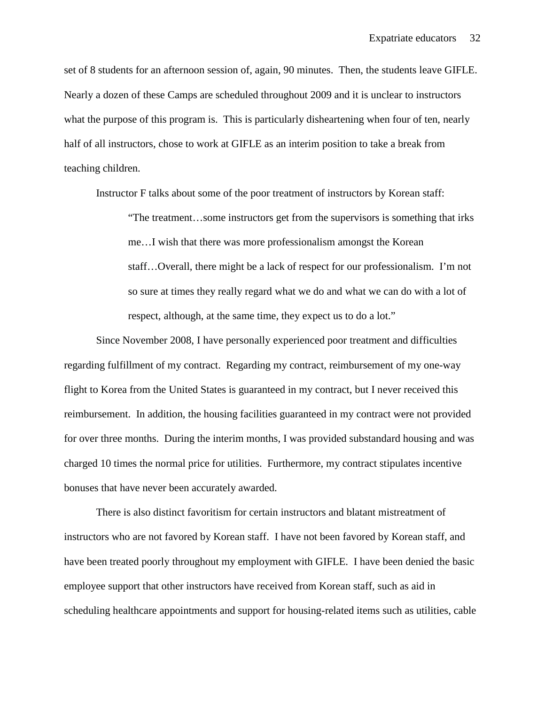set of 8 students for an afternoon session of, again, 90 minutes. Then, the students leave GIFLE. Nearly a dozen of these Camps are scheduled throughout 2009 and it is unclear to instructors what the purpose of this program is. This is particularly disheartening when four of ten, nearly half of all instructors, chose to work at GIFLE as an interim position to take a break from teaching children.

Instructor F talks about some of the poor treatment of instructors by Korean staff:

"The treatment…some instructors get from the supervisors is something that irks me…I wish that there was more professionalism amongst the Korean staff…Overall, there might be a lack of respect for our professionalism. I'm not so sure at times they really regard what we do and what we can do with a lot of respect, although, at the same time, they expect us to do a lot."

Since November 2008, I have personally experienced poor treatment and difficulties regarding fulfillment of my contract. Regarding my contract, reimbursement of my one-way flight to Korea from the United States is guaranteed in my contract, but I never received this reimbursement. In addition, the housing facilities guaranteed in my contract were not provided for over three months. During the interim months, I was provided substandard housing and was charged 10 times the normal price for utilities. Furthermore, my contract stipulates incentive bonuses that have never been accurately awarded.

There is also distinct favoritism for certain instructors and blatant mistreatment of instructors who are not favored by Korean staff. I have not been favored by Korean staff, and have been treated poorly throughout my employment with GIFLE. I have been denied the basic employee support that other instructors have received from Korean staff, such as aid in scheduling healthcare appointments and support for housing-related items such as utilities, cable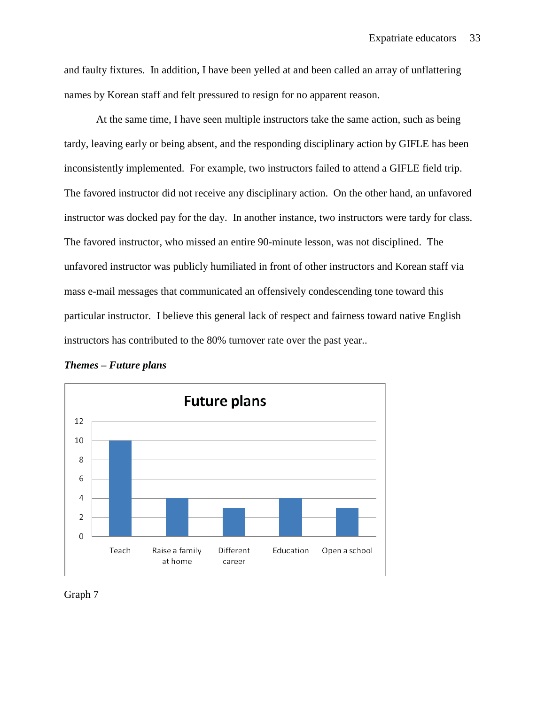and faulty fixtures. In addition, I have been yelled at and been called an array of unflattering names by Korean staff and felt pressured to resign for no apparent reason.

At the same time, I have seen multiple instructors take the same action, such as being tardy, leaving early or being absent, and the responding disciplinary action by GIFLE has been inconsistently implemented. For example, two instructors failed to attend a GIFLE field trip. The favored instructor did not receive any disciplinary action. On the other hand, an unfavored instructor was docked pay for the day. In another instance, two instructors were tardy for class. The favored instructor, who missed an entire 90-minute lesson, was not disciplined. The unfavored instructor was publicly humiliated in front of other instructors and Korean staff via mass e-mail messages that communicated an offensively condescending tone toward this particular instructor. I believe this general lack of respect and fairness toward native English instructors has contributed to the 80% turnover rate over the past year..



## *Themes – Future plans*

Graph 7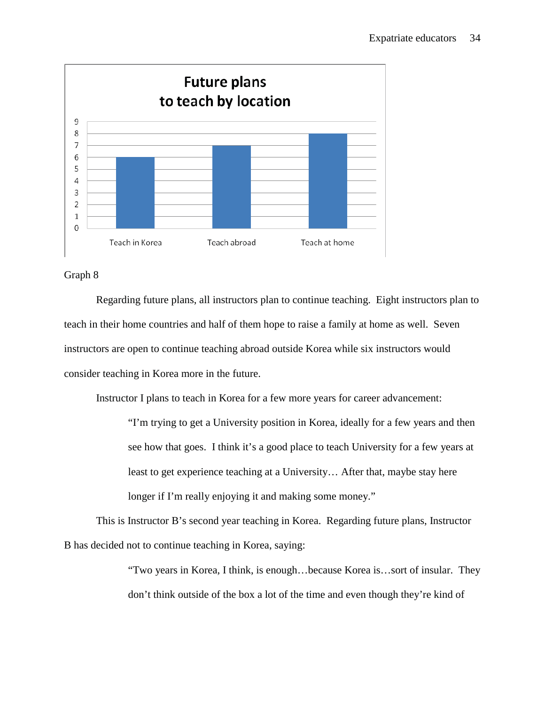

# Graph 8

Regarding future plans, all instructors plan to continue teaching. Eight instructors plan to teach in their home countries and half of them hope to raise a family at home as well. Seven instructors are open to continue teaching abroad outside Korea while six instructors would consider teaching in Korea more in the future.

Instructor I plans to teach in Korea for a few more years for career advancement:

"I'm trying to get a University position in Korea, ideally for a few years and then see how that goes. I think it's a good place to teach University for a few years at least to get experience teaching at a University… After that, maybe stay here longer if I'm really enjoying it and making some money."

This is Instructor B's second year teaching in Korea. Regarding future plans, Instructor B has decided not to continue teaching in Korea, saying:

> "Two years in Korea, I think, is enough…because Korea is…sort of insular. They don't think outside of the box a lot of the time and even though they're kind of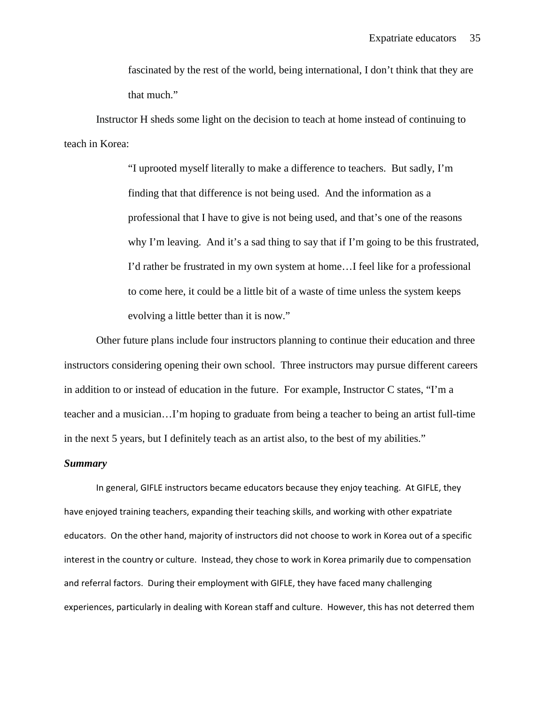fascinated by the rest of the world, being international, I don't think that they are that much."

Instructor H sheds some light on the decision to teach at home instead of continuing to teach in Korea:

> "I uprooted myself literally to make a difference to teachers. But sadly, I'm finding that that difference is not being used. And the information as a professional that I have to give is not being used, and that's one of the reasons why I'm leaving. And it's a sad thing to say that if I'm going to be this frustrated, I'd rather be frustrated in my own system at home…I feel like for a professional to come here, it could be a little bit of a waste of time unless the system keeps evolving a little better than it is now."

Other future plans include four instructors planning to continue their education and three instructors considering opening their own school. Three instructors may pursue different careers in addition to or instead of education in the future. For example, Instructor C states, "I'm a teacher and a musician…I'm hoping to graduate from being a teacher to being an artist full-time in the next 5 years, but I definitely teach as an artist also, to the best of my abilities."

## *Summary*

 In general, GIFLE instructors became educators because they enjoy teaching. At GIFLE, they have enjoyed training teachers, expanding their teaching skills, and working with other expatriate educators. On the other hand, majority of instructors did not choose to work in Korea out of a specific interest in the country or culture. Instead, they chose to work in Korea primarily due to compensation and referral factors. During their employment with GIFLE, they have faced many challenging experiences, particularly in dealing with Korean staff and culture. However, this has not deterred them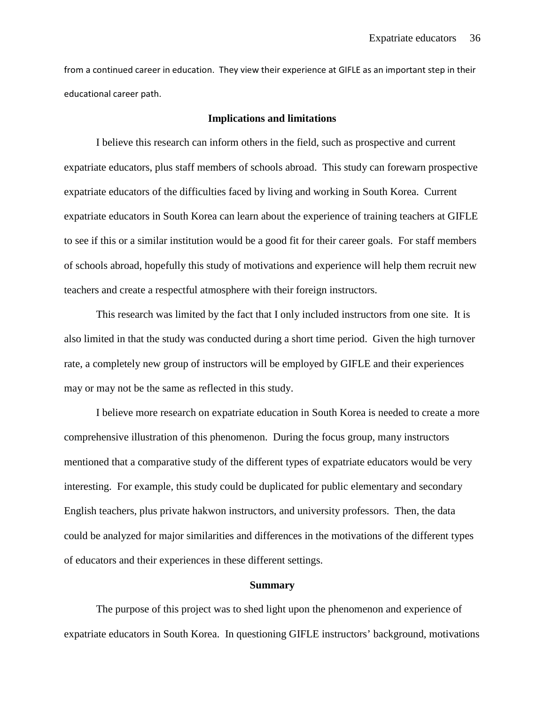from a continued career in education. They view their experience at GIFLE as an important step in their educational career path.

#### **Implications and limitations**

I believe this research can inform others in the field, such as prospective and current expatriate educators, plus staff members of schools abroad. This study can forewarn prospective expatriate educators of the difficulties faced by living and working in South Korea. Current expatriate educators in South Korea can learn about the experience of training teachers at GIFLE to see if this or a similar institution would be a good fit for their career goals. For staff members of schools abroad, hopefully this study of motivations and experience will help them recruit new teachers and create a respectful atmosphere with their foreign instructors.

This research was limited by the fact that I only included instructors from one site. It is also limited in that the study was conducted during a short time period. Given the high turnover rate, a completely new group of instructors will be employed by GIFLE and their experiences may or may not be the same as reflected in this study.

I believe more research on expatriate education in South Korea is needed to create a more comprehensive illustration of this phenomenon. During the focus group, many instructors mentioned that a comparative study of the different types of expatriate educators would be very interesting. For example, this study could be duplicated for public elementary and secondary English teachers, plus private hakwon instructors, and university professors. Then, the data could be analyzed for major similarities and differences in the motivations of the different types of educators and their experiences in these different settings.

#### **Summary**

The purpose of this project was to shed light upon the phenomenon and experience of expatriate educators in South Korea. In questioning GIFLE instructors' background, motivations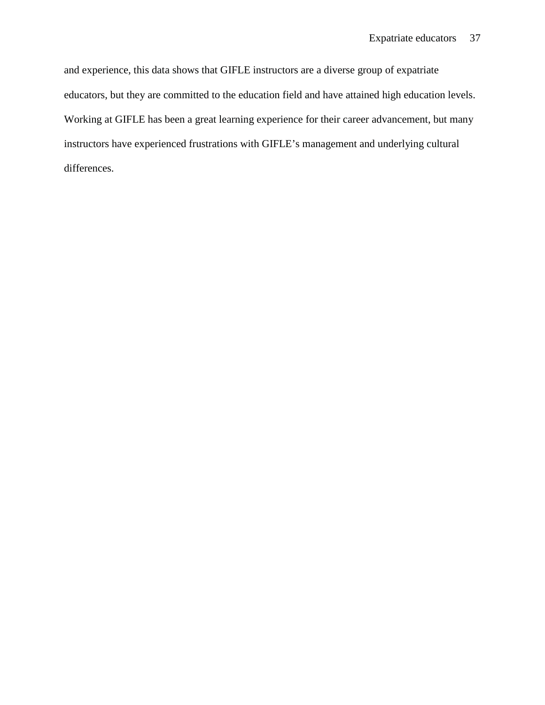and experience, this data shows that GIFLE instructors are a diverse group of expatriate educators, but they are committed to the education field and have attained high education levels. Working at GIFLE has been a great learning experience for their career advancement, but many instructors have experienced frustrations with GIFLE's management and underlying cultural differences.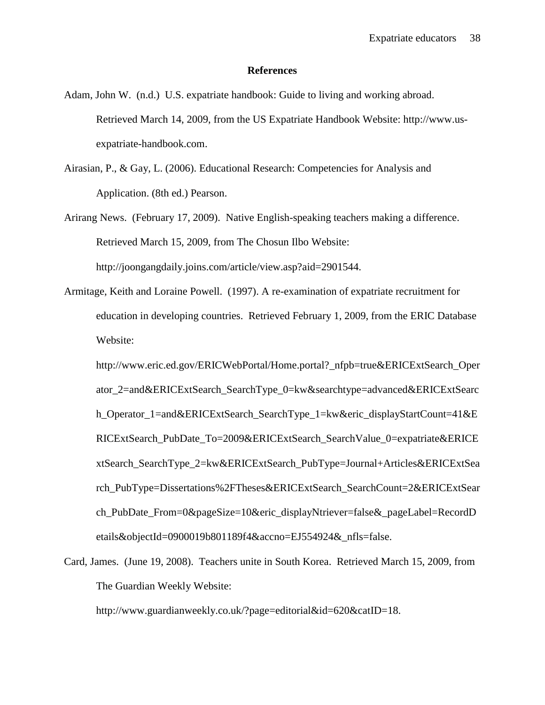#### **References**

- Adam, John W. (n.d.) U.S. expatriate handbook: Guide to living and working abroad. Retrieved March 14, 2009, from the US Expatriate Handbook Website: http://www.usexpatriate-handbook.com.
- Airasian, P., & Gay, L. (2006). Educational Research: Competencies for Analysis and Application. (8th ed.) Pearson.
- Arirang News. (February 17, 2009). Native English-speaking teachers making a difference. Retrieved March 15, 2009, from The Chosun Ilbo Website: http://joongangdaily.joins.com/article/view.asp?aid=2901544.
- Armitage, Keith and Loraine Powell. (1997). A re-examination of expatriate recruitment for education in developing countries. Retrieved February 1, 2009, from the ERIC Database Website:

http://www.eric.ed.gov/ERICWebPortal/Home.portal?\_nfpb=true&ERICExtSearch\_Oper ator\_2=and&ERICExtSearch\_SearchType\_0=kw&searchtype=advanced&ERICExtSearc h\_Operator\_1=and&ERICExtSearch\_SearchType\_1=kw&eric\_displayStartCount=41&E RICExtSearch\_PubDate\_To=2009&ERICExtSearch\_SearchValue\_0=expatriate&ERICE xtSearch\_SearchType\_2=kw&ERICExtSearch\_PubType=Journal+Articles&ERICExtSea rch\_PubType=Dissertations%2FTheses&ERICExtSearch\_SearchCount=2&ERICExtSear ch PubDate From=0&pageSize=10&eric displayNtriever=false& pageLabel=RecordD etails&objectId=0900019b801189f4&accno=EJ554924&\_nfls=false.

Card, James. (June 19, 2008). Teachers unite in South Korea. Retrieved March 15, 2009, from The Guardian Weekly Website:

http://www.guardianweekly.co.uk/?page=editorial&id=620&catID=18.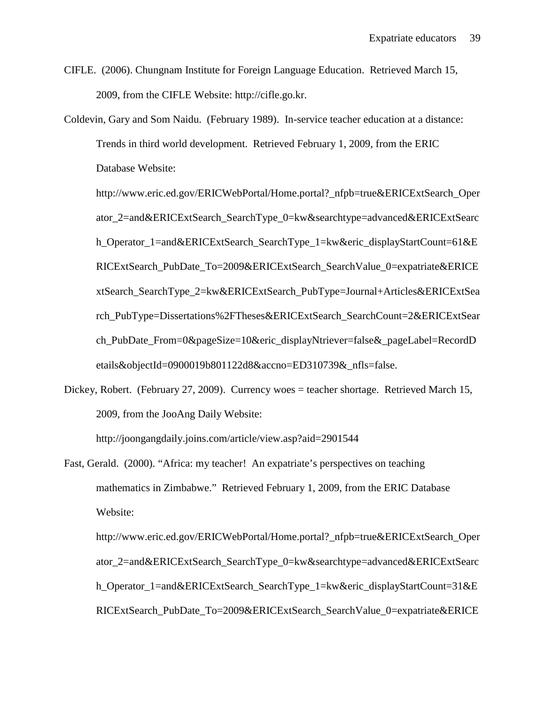- CIFLE. (2006). Chungnam Institute for Foreign Language Education. Retrieved March 15, 2009, from the CIFLE Website: http://cifle.go.kr.
- Coldevin, Gary and Som Naidu. (February 1989). In-service teacher education at a distance: Trends in third world development. Retrieved February 1, 2009, from the ERIC Database Website:

http://www.eric.ed.gov/ERICWebPortal/Home.portal?\_nfpb=true&ERICExtSearch\_Oper ator\_2=and&ERICExtSearch\_SearchType\_0=kw&searchtype=advanced&ERICExtSearc h\_Operator\_1=and&ERICExtSearch\_SearchType\_1=kw&eric\_displayStartCount=61&E RICExtSearch\_PubDate\_To=2009&ERICExtSearch\_SearchValue\_0=expatriate&ERICE xtSearch\_SearchType\_2=kw&ERICExtSearch\_PubType=Journal+Articles&ERICExtSea rch\_PubType=Dissertations%2FTheses&ERICExtSearch\_SearchCount=2&ERICExtSear ch\_PubDate\_From=0&pageSize=10&eric\_displayNtriever=false&\_pageLabel=RecordD etails&objectId=0900019b801122d8&accno=ED310739&\_nfls=false.

Dickey, Robert. (February 27, 2009). Currency woes = teacher shortage. Retrieved March 15, 2009, from the JooAng Daily Website:

http://joongangdaily.joins.com/article/view.asp?aid=2901544

Fast, Gerald. (2000). "Africa: my teacher! An expatriate's perspectives on teaching mathematics in Zimbabwe." Retrieved February 1, 2009, from the ERIC Database Website:

http://www.eric.ed.gov/ERICWebPortal/Home.portal?\_nfpb=true&ERICExtSearch\_Oper ator\_2=and&ERICExtSearch\_SearchType\_0=kw&searchtype=advanced&ERICExtSearc h\_Operator\_1=and&ERICExtSearch\_SearchType\_1=kw&eric\_displayStartCount=31&E RICExtSearch\_PubDate\_To=2009&ERICExtSearch\_SearchValue\_0=expatriate&ERICE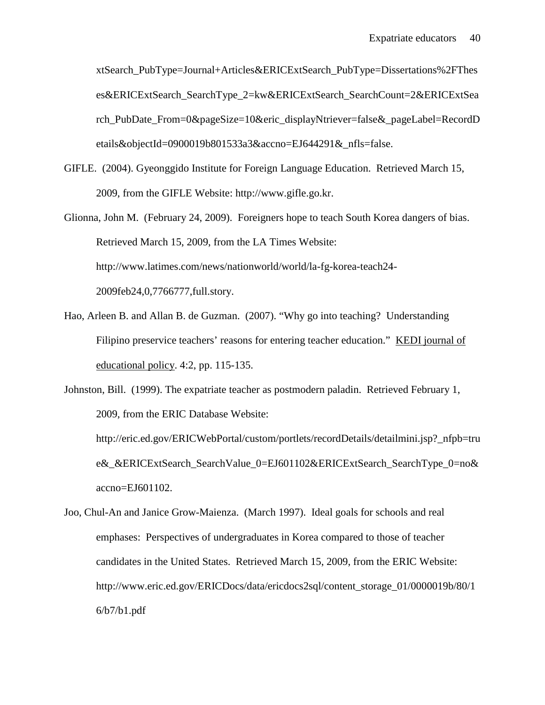xtSearch\_PubType=Journal+Articles&ERICExtSearch\_PubType=Dissertations%2FThes es&ERICExtSearch\_SearchType\_2=kw&ERICExtSearch\_SearchCount=2&ERICExtSea rch PubDate From=0&pageSize=10&eric displayNtriever=false& pageLabel=RecordD etails&objectId=0900019b801533a3&accno=EJ644291&nfls=false.

- GIFLE. (2004). Gyeonggido Institute for Foreign Language Education. Retrieved March 15, 2009, from the GIFLE Website: http://www.gifle.go.kr.
- Glionna, John M. (February 24, 2009). Foreigners hope to teach South Korea dangers of bias. Retrieved March 15, 2009, from the LA Times Website: http://www.latimes.com/news/nationworld/world/la-fg-korea-teach24- 2009feb24,0,7766777,full.story.
- Hao, Arleen B. and Allan B. de Guzman. (2007). "Why go into teaching? Understanding Filipino preservice teachers' reasons for entering teacher education." KEDI journal of educational policy. 4:2, pp. 115-135.
- Johnston, Bill. (1999). The expatriate teacher as postmodern paladin. Retrieved February 1, 2009, from the ERIC Database Website:

http://eric.ed.gov/ERICWebPortal/custom/portlets/recordDetails/detailmini.jsp?\_nfpb=tru e&\_&ERICExtSearch\_SearchValue\_0=EJ601102&ERICExtSearch\_SearchType\_0=no& accno=EJ601102.

Joo, Chul-An and Janice Grow-Maienza. (March 1997). Ideal goals for schools and real emphases: Perspectives of undergraduates in Korea compared to those of teacher candidates in the United States. Retrieved March 15, 2009, from the ERIC Website: http://www.eric.ed.gov/ERICDocs/data/ericdocs2sql/content\_storage\_01/0000019b/80/1 6/b7/b1.pdf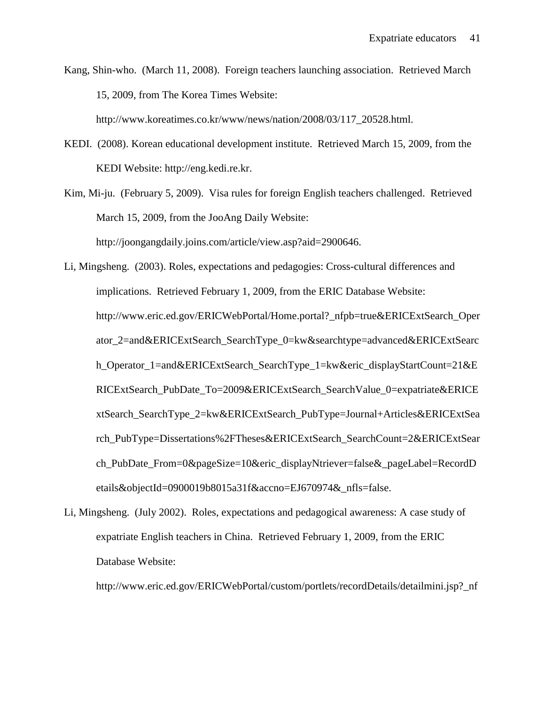Kang, Shin-who. (March 11, 2008). Foreign teachers launching association. Retrieved March 15, 2009, from The Korea Times Website:

http://www.koreatimes.co.kr/www/news/nation/2008/03/117\_20528.html.

KEDI. (2008). Korean educational development institute. Retrieved March 15, 2009, from the KEDI Website: http://eng.kedi.re.kr.

Kim, Mi-ju. (February 5, 2009). Visa rules for foreign English teachers challenged. Retrieved March 15, 2009, from the JooAng Daily Website: http://joongangdaily.joins.com/article/view.asp?aid=2900646.

Li, Mingsheng. (2003). Roles, expectations and pedagogies: Cross-cultural differences and implications. Retrieved February 1, 2009, from the ERIC Database Website: http://www.eric.ed.gov/ERICWebPortal/Home.portal?\_nfpb=true&ERICExtSearch\_Oper ator\_2=and&ERICExtSearch\_SearchType\_0=kw&searchtype=advanced&ERICExtSearc h\_Operator\_1=and&ERICExtSearch\_SearchType\_1=kw&eric\_displayStartCount=21&E RICExtSearch\_PubDate\_To=2009&ERICExtSearch\_SearchValue\_0=expatriate&ERICE xtSearch\_SearchType\_2=kw&ERICExtSearch\_PubType=Journal+Articles&ERICExtSea rch\_PubType=Dissertations%2FTheses&ERICExtSearch\_SearchCount=2&ERICExtSear ch\_PubDate\_From=0&pageSize=10&eric\_displayNtriever=false&\_pageLabel=RecordD etails&objectId=0900019b8015a31f&accno=EJ670974&\_nfls=false.

Li, Mingsheng. (July 2002). Roles, expectations and pedagogical awareness: A case study of expatriate English teachers in China. Retrieved February 1, 2009, from the ERIC Database Website:

http://www.eric.ed.gov/ERICWebPortal/custom/portlets/recordDetails/detailmini.jsp?\_nf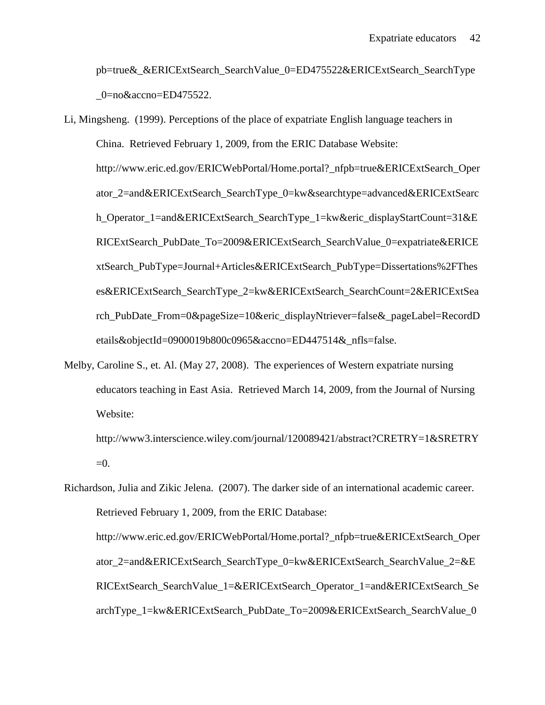pb=true&\_&ERICExtSearch\_SearchValue\_0=ED475522&ERICExtSearch\_SearchType \_0=no&accno=ED475522.

- Li, Mingsheng. (1999). Perceptions of the place of expatriate English language teachers in China. Retrieved February 1, 2009, from the ERIC Database Website: http://www.eric.ed.gov/ERICWebPortal/Home.portal?\_nfpb=true&ERICExtSearch\_Oper ator\_2=and&ERICExtSearch\_SearchType\_0=kw&searchtype=advanced&ERICExtSearc h\_Operator\_1=and&ERICExtSearch\_SearchType\_1=kw&eric\_displayStartCount=31&E RICExtSearch\_PubDate\_To=2009&ERICExtSearch\_SearchValue\_0=expatriate&ERICE xtSearch\_PubType=Journal+Articles&ERICExtSearch\_PubType=Dissertations%2FThes es&ERICExtSearch\_SearchType\_2=kw&ERICExtSearch\_SearchCount=2&ERICExtSea rch\_PubDate\_From=0&pageSize=10&eric\_displayNtriever=false&\_pageLabel=RecordD etails&objectId=0900019b800c0965&accno=ED447514&\_nfls=false.
- Melby, Caroline S., et. Al. (May 27, 2008). The experiences of Western expatriate nursing educators teaching in East Asia. Retrieved March 14, 2009, from the Journal of Nursing Website:

http://www3.interscience.wiley.com/journal/120089421/abstract?CRETRY=1&SRETRY  $=0.$ 

Richardson, Julia and Zikic Jelena. (2007). The darker side of an international academic career. Retrieved February 1, 2009, from the ERIC Database: http://www.eric.ed.gov/ERICWebPortal/Home.portal?\_nfpb=true&ERICExtSearch\_Oper ator\_2=and&ERICExtSearch\_SearchType\_0=kw&ERICExtSearch\_SearchValue\_2=&E RICExtSearch\_SearchValue\_1=&ERICExtSearch\_Operator\_1=and&ERICExtSearch\_Se archType\_1=kw&ERICExtSearch\_PubDate\_To=2009&ERICExtSearch\_SearchValue\_0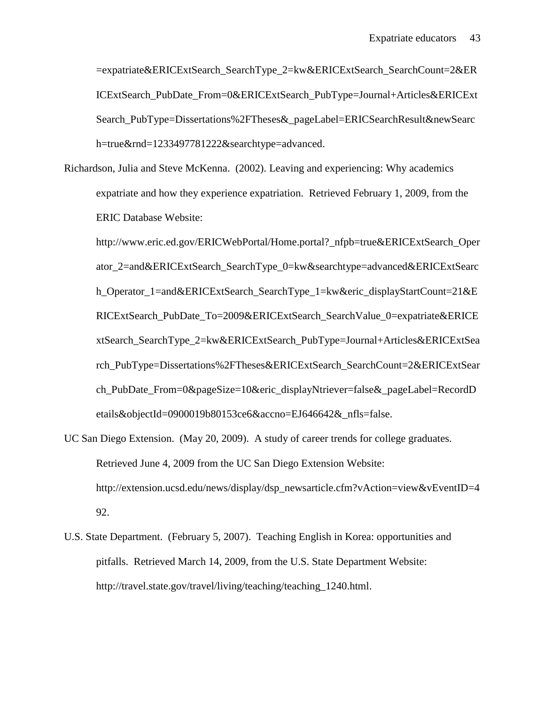=expatriate&ERICExtSearch\_SearchType\_2=kw&ERICExtSearch\_SearchCount=2&ER ICExtSearch\_PubDate\_From=0&ERICExtSearch\_PubType=Journal+Articles&ERICExt Search PubType=Dissertations%2FTheses&\_pageLabel=ERICSearchResult&newSearc h=true&rnd=1233497781222&searchtype=advanced.

Richardson, Julia and Steve McKenna. (2002). Leaving and experiencing: Why academics expatriate and how they experience expatriation. Retrieved February 1, 2009, from the ERIC Database Website:

http://www.eric.ed.gov/ERICWebPortal/Home.portal?\_nfpb=true&ERICExtSearch\_Oper ator\_2=and&ERICExtSearch\_SearchType\_0=kw&searchtype=advanced&ERICExtSearc h\_Operator\_1=and&ERICExtSearch\_SearchType\_1=kw&eric\_displayStartCount=21&E RICExtSearch\_PubDate\_To=2009&ERICExtSearch\_SearchValue\_0=expatriate&ERICE xtSearch\_SearchType\_2=kw&ERICExtSearch\_PubType=Journal+Articles&ERICExtSea rch\_PubType=Dissertations%2FTheses&ERICExtSearch\_SearchCount=2&ERICExtSear ch PubDate From=0&pageSize=10&eric displayNtriever=false& pageLabel=RecordD etails&objectId=0900019b80153ce6&accno=EJ646642&\_nfls=false.

- UC San Diego Extension. (May 20, 2009). A study of career trends for college graduates. Retrieved June 4, 2009 from the UC San Diego Extension Website: http://extension.ucsd.edu/news/display/dsp\_newsarticle.cfm?vAction=view&vEventID=4 92.
- U.S. State Department. (February 5, 2007). Teaching English in Korea: opportunities and pitfalls. Retrieved March 14, 2009, from the U.S. State Department Website: http://travel.state.gov/travel/living/teaching/teaching\_1240.html.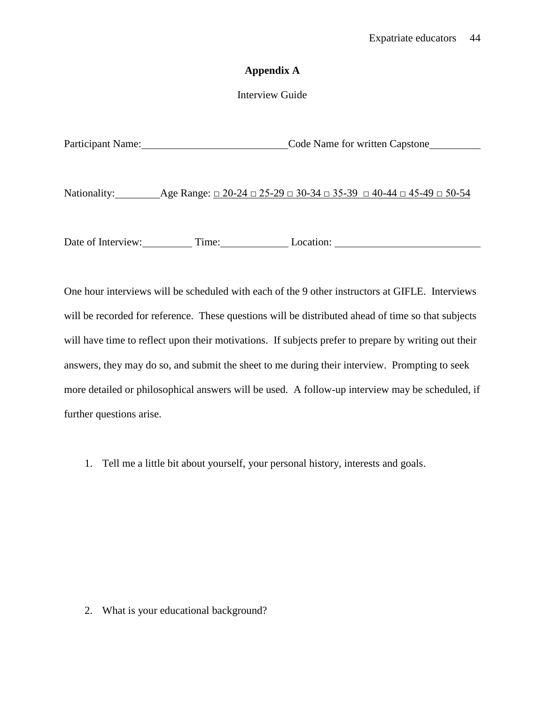# **Appendix A**

# Interview Guide

| <b>Participant Name:</b> | Code Name for written Capstone                                                                        |
|--------------------------|-------------------------------------------------------------------------------------------------------|
|                          |                                                                                                       |
|                          |                                                                                                       |
| Nationality:             | Age Range: $\Box$ 20-24 $\Box$ 25-29 $\Box$ 30-34 $\Box$ 35-39 $\Box$ 40-44 $\Box$ 45-49 $\Box$ 50-54 |
|                          |                                                                                                       |

Date of Interview: Time: Location: Location:

One hour interviews will be scheduled with each of the 9 other instructors at GIFLE. Interviews will be recorded for reference. These questions will be distributed ahead of time so that subjects will have time to reflect upon their motivations. If subjects prefer to prepare by writing out their answers, they may do so, and submit the sheet to me during their interview. Prompting to seek more detailed or philosophical answers will be used. A follow-up interview may be scheduled, if further questions arise.

1. Tell me a little bit about yourself, your personal history, interests and goals.

2. What is your educational background?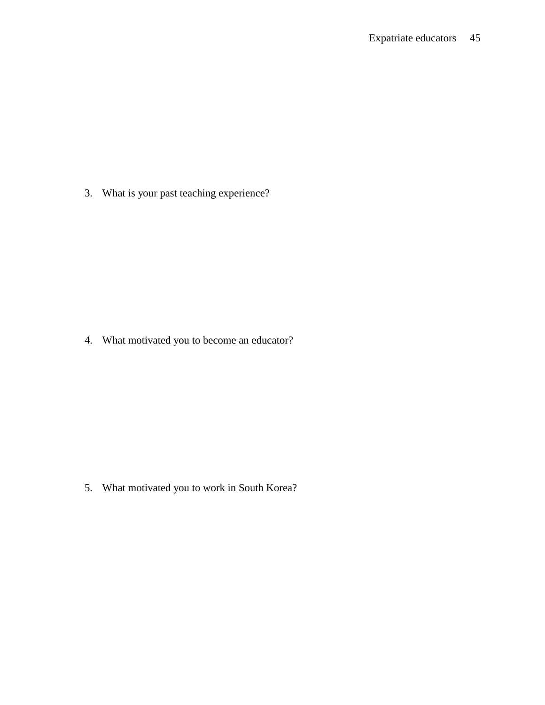3. What is your past teaching experience?

4. What motivated you to become an educator?

5. What motivated you to work in South Korea?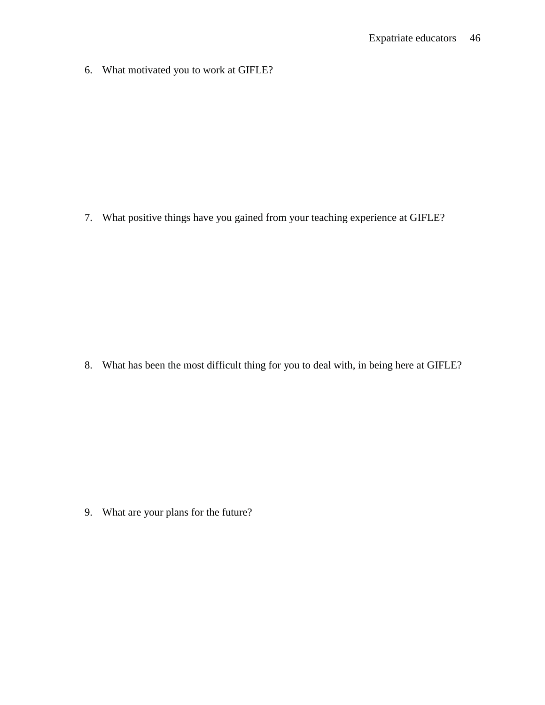6. What motivated you to work at GIFLE?

7. What positive things have you gained from your teaching experience at GIFLE?

8. What has been the most difficult thing for you to deal with, in being here at GIFLE?

9. What are your plans for the future?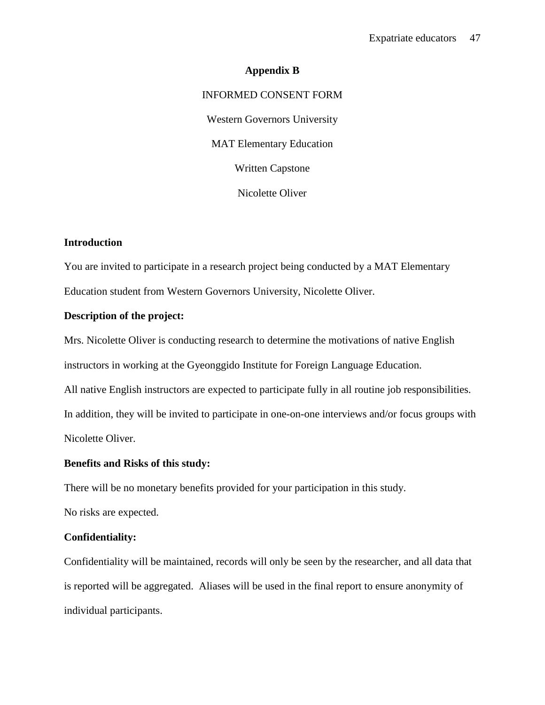# **Appendix B** INFORMED CONSENT FORM Western Governors University MAT Elementary Education Written Capstone Nicolette Oliver

# **Introduction**

You are invited to participate in a research project being conducted by a MAT Elementary Education student from Western Governors University, Nicolette Oliver.

# **Description of the project:**

Mrs. Nicolette Oliver is conducting research to determine the motivations of native English

instructors in working at the Gyeonggido Institute for Foreign Language Education.

All native English instructors are expected to participate fully in all routine job responsibilities.

In addition, they will be invited to participate in one-on-one interviews and/or focus groups with Nicolette Oliver.

# **Benefits and Risks of this study:**

There will be no monetary benefits provided for your participation in this study.

No risks are expected.

# **Confidentiality:**

Confidentiality will be maintained, records will only be seen by the researcher, and all data that is reported will be aggregated. Aliases will be used in the final report to ensure anonymity of individual participants.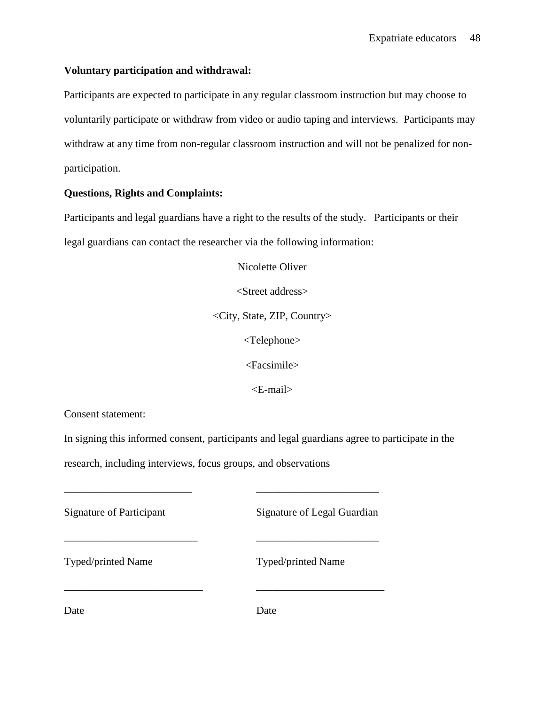# **Voluntary participation and withdrawal:**

Participants are expected to participate in any regular classroom instruction but may choose to voluntarily participate or withdraw from video or audio taping and interviews. Participants may withdraw at any time from non-regular classroom instruction and will not be penalized for nonparticipation.

# **Questions, Rights and Complaints:**

Participants and legal guardians have a right to the results of the study. Participants or their legal guardians can contact the researcher via the following information:

> Nicolette Oliver <Street address> <City, State, ZIP, Country> <Telephone> <Facsimile>

> > <E-mail>

Consent statement:

In signing this informed consent, participants and legal guardians agree to participate in the

research, including interviews, focus groups, and observations

\_\_\_\_\_\_\_\_\_\_\_\_\_\_\_\_\_\_\_\_\_\_\_\_ \_\_\_\_\_\_\_\_\_\_\_\_\_\_\_\_\_\_\_\_\_\_\_

\_\_\_\_\_\_\_\_\_\_\_\_\_\_\_\_\_\_\_\_\_\_\_\_\_ \_\_\_\_\_\_\_\_\_\_\_\_\_\_\_\_\_\_\_\_\_\_\_

\_\_\_\_\_\_\_\_\_\_\_\_\_\_\_\_\_\_\_\_\_\_\_\_\_\_ \_\_\_\_\_\_\_\_\_\_\_\_\_\_\_\_\_\_\_\_\_\_\_\_

Signature of Participant Signature of Legal Guardian

Typed/printed Name Typed/printed Name

Date Date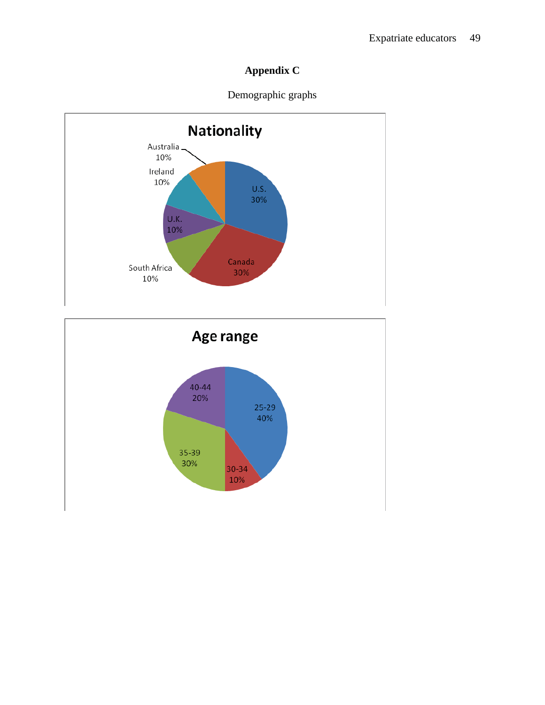# **Appendix C**





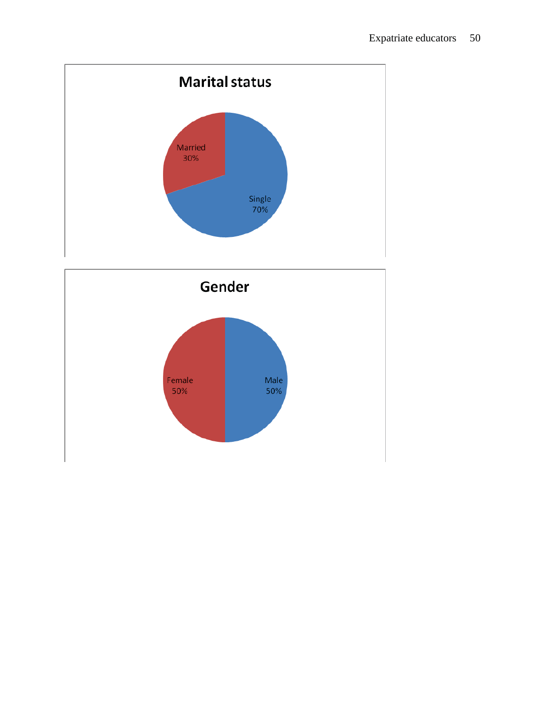

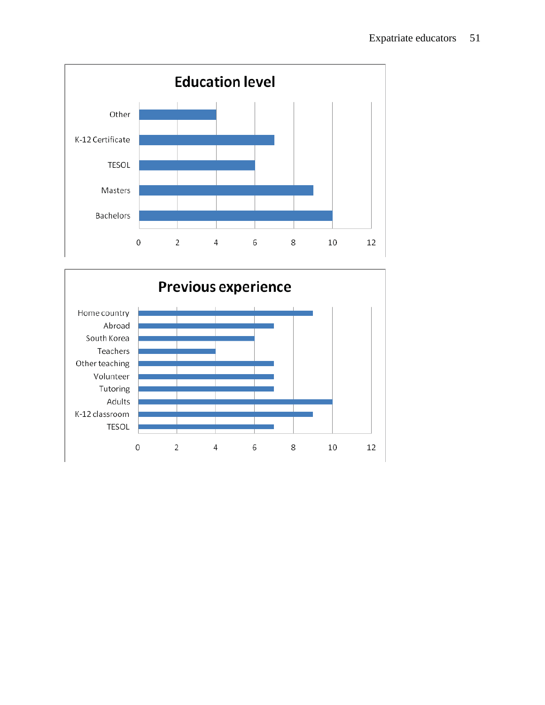

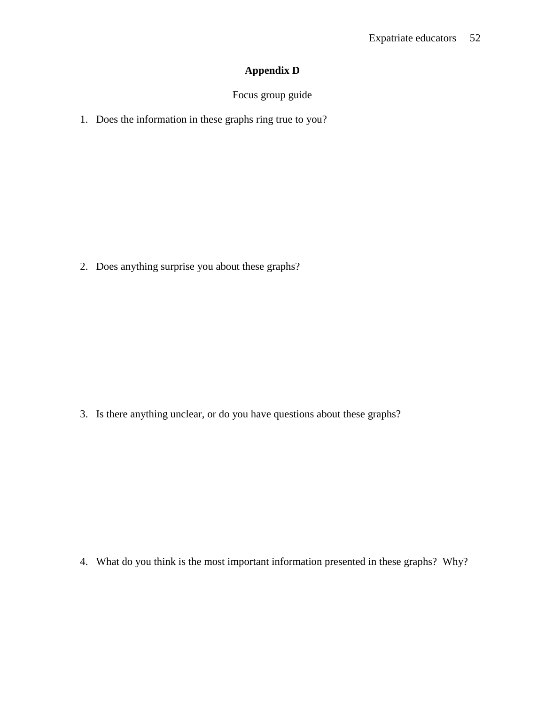# **Appendix D**

# Focus group guide

1. Does the information in these graphs ring true to you?

2. Does anything surprise you about these graphs?

3. Is there anything unclear, or do you have questions about these graphs?

4. What do you think is the most important information presented in these graphs? Why?